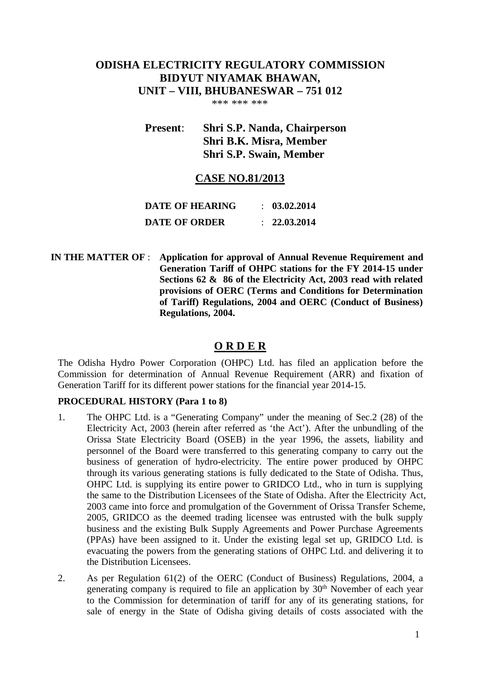# **ODISHA ELECTRICITY REGULATORY COMMISSION BIDYUT NIYAMAK BHAWAN, UNIT – VIII, BHUBANESWAR – 751 012**

\*\*\* \*\*\* \*\*\*

**Present**: **Shri S.P. Nanda, Chairperson Shri B.K. Misra, Member Shri S.P. Swain, Member**

# **CASE NO.81/2013**

| DATE OF HEARING | $\therefore$ 03.02.2014 |
|-----------------|-------------------------|
| DATE OF ORDER   | $\therefore$ 22.03.2014 |

**IN THE MATTER OF** : **Application for approval of Annual Revenue Requirement and Generation Tariff of OHPC stations for the FY 2014-15 under Sections 62 & 86 of the Electricity Act, 2003 read with related provisions of OERC (Terms and Conditions for Determination of Tariff) Regulations, 2004 and OERC (Conduct of Business) Regulations, 2004.**

# **O R D E R**

The Odisha Hydro Power Corporation (OHPC) Ltd. has filed an application before the Commission for determination of Annual Revenue Requirement (ARR) and fixation of Generation Tariff for its different power stations for the financial year 2014-15.

## **PROCEDURAL HISTORY (Para 1 to 8)**

- 1. The OHPC Ltd. is a "Generating Company" under the meaning of Sec.2 (28) of the Electricity Act, 2003 (herein after referred as 'the Act'). After the unbundling of the Orissa State Electricity Board (OSEB) in the year 1996, the assets, liability and personnel of the Board were transferred to this generating company to carry out the business of generation of hydro-electricity. The entire power produced by OHPC through its various generating stations is fully dedicated to the State of Odisha. Thus, OHPC Ltd. is supplying its entire power to GRIDCO Ltd., who in turn is supplying the same to the Distribution Licensees of the State of Odisha. After the Electricity Act, 2003 came into force and promulgation of the Government of Orissa Transfer Scheme, 2005, GRIDCO as the deemed trading licensee was entrusted with the bulk supply business and the existing Bulk Supply Agreements and Power Purchase Agreements (PPAs) have been assigned to it. Under the existing legal set up, GRIDCO Ltd. is evacuating the powers from the generating stations of OHPC Ltd. and delivering it to the Distribution Licensees.
- 2. As per Regulation 61(2) of the OERC (Conduct of Business) Regulations, 2004, a generating company is required to file an application by  $30<sup>th</sup>$  November of each year to the Commission for determination of tariff for any of its generating stations, for sale of energy in the State of Odisha giving details of costs associated with the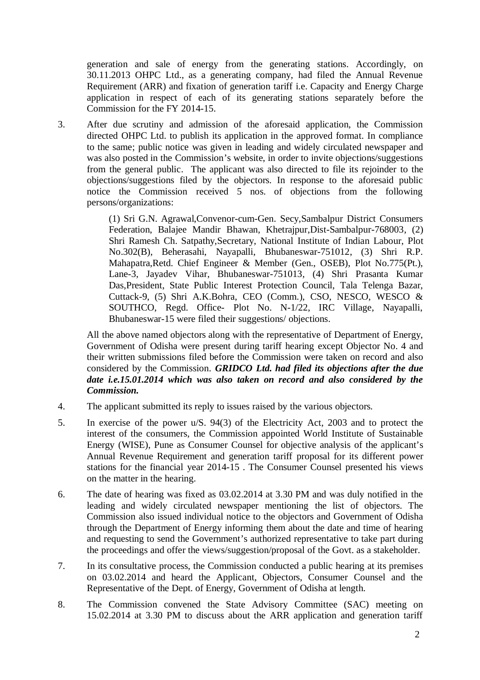generation and sale of energy from the generating stations. Accordingly, on 30.11.2013 OHPC Ltd., as a generating company, had filed the Annual Revenue Requirement (ARR) and fixation of generation tariff i.e. Capacity and Energy Charge application in respect of each of its generating stations separately before the Commission for the FY 2014-15.

3. After due scrutiny and admission of the aforesaid application, the Commission directed OHPC Ltd. to publish its application in the approved format. In compliance to the same; public notice was given in leading and widely circulated newspaper and was also posted in the Commission's website, in order to invite objections/suggestions from the general public. The applicant was also directed to file its rejoinder to the objections/suggestions filed by the objectors. In response to the aforesaid public notice the Commission received 5 nos. of objections from the following persons/organizations:

> (1) Sri G.N. Agrawal,Convenor-cum-Gen. Secy,Sambalpur District Consumers Federation, Balajee Mandir Bhawan, Khetrajpur,Dist-Sambalpur-768003, (2) Shri Ramesh Ch. Satpathy,Secretary, National Institute of Indian Labour, Plot No.302(B), Beherasahi, Nayapalli, Bhubaneswar-751012, (3) Shri R.P. Mahapatra,Retd. Chief Engineer & Member (Gen., OSEB), Plot No.775(Pt.), Lane-3, Jayadev Vihar, Bhubaneswar-751013, (4) Shri Prasanta Kumar Das,President, State Public Interest Protection Council, Tala Telenga Bazar, Cuttack-9, (5) Shri A.K.Bohra, CEO (Comm.), CSO, NESCO, WESCO & SOUTHCO, Regd. Office- Plot No. N-1/22, IRC Village, Nayapalli, Bhubaneswar-15 were filed their suggestions/ objections.

All the above named objectors along with the representative of Department of Energy, Government of Odisha were present during tariff hearing except Objector No. 4 and their written submissions filed before the Commission were taken on record and also considered by the Commission. *GRIDCO Ltd. had filed its objections after the due date i.e.15.01.2014 which was also taken on record and also considered by the Commission.*

- 4. The applicant submitted its reply to issues raised by the various objectors.
- 5. In exercise of the power u/S. 94(3) of the Electricity Act, 2003 and to protect the interest of the consumers, the Commission appointed World Institute of Sustainable Energy (WISE), Pune as Consumer Counsel for objective analysis of the applicant's Annual Revenue Requirement and generation tariff proposal for its different power stations for the financial year 2014-15 . The Consumer Counsel presented his views on the matter in the hearing.
- 6. The date of hearing was fixed as 03.02.2014 at 3.30 PM and was duly notified in the leading and widely circulated newspaper mentioning the list of objectors. The Commission also issued individual notice to the objectors and Government of Odisha through the Department of Energy informing them about the date and time of hearing and requesting to send the Government's authorized representative to take part during the proceedings and offer the views/suggestion/proposal of the Govt. as a stakeholder.
- 7. In its consultative process, the Commission conducted a public hearing at its premises on 03.02.2014 and heard the Applicant, Objectors, Consumer Counsel and the Representative of the Dept. of Energy, Government of Odisha at length.
- 8. The Commission convened the State Advisory Committee (SAC) meeting on 15.02.2014 at 3.30 PM to discuss about the ARR application and generation tariff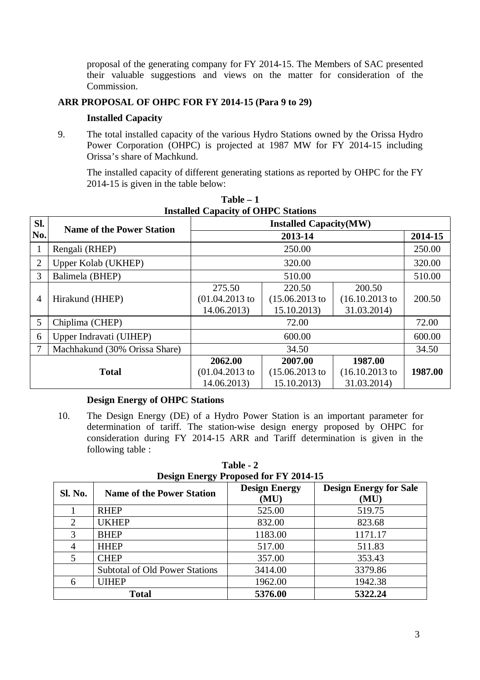proposal of the generating company for FY 2014-15. The Members of SAC presented their valuable suggestions and views on the matter for consideration of the Commission.

#### **ARR PROPOSAL OF OHPC FOR FY 2014-15 (Para 9 to 29)**

#### **Installed Capacity**

9. The total installed capacity of the various Hydro Stations owned by the Orissa Hydro Power Corporation (OHPC) is projected at 1987 MW for FY 2014-15 including Orissa's share of Machkund.

The installed capacity of different generating stations as reported by OHPC for the FY 2014-15 is given in the table below:

| Sl.            | <b>Name of the Power Station</b> |                   |                   |                   |         |  |
|----------------|----------------------------------|-------------------|-------------------|-------------------|---------|--|
| No.            |                                  |                   | 2013-14           |                   | 2014-15 |  |
|                | Rengali (RHEP)                   |                   | 250.00            |                   |         |  |
| $\overline{2}$ | <b>Upper Kolab (UKHEP)</b>       |                   | 320.00            |                   | 320.00  |  |
| 3              | Balimela (BHEP)                  |                   | 510.00            |                   |         |  |
|                |                                  | 275.50            | 220.50            | 200.50            |         |  |
| $\overline{4}$ | Hirakund (HHEP)                  | $(01.04.2013)$ to | $(15.06.2013)$ to | $(16.10.2013)$ to | 200.50  |  |
|                | 14.06.2013)<br>15.10.2013)       |                   |                   | 31.03.2014)       |         |  |
| 5              | Chiplima (CHEP)                  |                   | 72.00             |                   | 72.00   |  |
| 6              | Upper Indravati (UIHEP)          |                   | 600.00            |                   | 600.00  |  |
|                | Machhakund (30% Orissa Share)    |                   | 34.50             |                   |         |  |
|                |                                  | 2062.00           | 2007.00           | 1987.00           |         |  |
|                | <b>Total</b>                     | $(01.04.2013)$ to | $(15.06.2013)$ to | $(16.10.2013)$ to | 1987.00 |  |
|                |                                  | 14.06.2013)       |                   |                   |         |  |

 $Table - 1$ **Installed Capacity of OHPC Stations**

## **Design Energy of OHPC Stations**

10. The Design Energy (DE) of a Hydro Power Station is an important parameter for determination of tariff. The station-wise design energy proposed by OHPC for consideration during FY 2014-15 ARR and Tariff determination is given in the following table :

**Table - 2 Design Energy Proposed for FY 2014-15**

|         | $D\cos \mu$ Energy 1 ruposed for $\Gamma$ 1 $201$ $\text{+}13$ |                              |                                       |  |  |  |  |  |
|---------|----------------------------------------------------------------|------------------------------|---------------------------------------|--|--|--|--|--|
| Sl. No. | <b>Name of the Power Station</b>                               | <b>Design Energy</b><br>(MU) | <b>Design Energy for Sale</b><br>(MU) |  |  |  |  |  |
|         | <b>RHEP</b>                                                    | 525.00                       | 519.75                                |  |  |  |  |  |
| 2       | <b>UKHEP</b>                                                   | 832.00                       | 823.68                                |  |  |  |  |  |
| 3       | <b>BHEP</b>                                                    | 1183.00                      | 1171.17                               |  |  |  |  |  |
|         | <b>HHEP</b>                                                    | 517.00                       | 511.83                                |  |  |  |  |  |
|         | <b>CHEP</b>                                                    | 357.00                       | 353.43                                |  |  |  |  |  |
|         | <b>Subtotal of Old Power Stations</b>                          | 3414.00                      | 3379.86                               |  |  |  |  |  |
| 6       | <b>UIHEP</b>                                                   | 1962.00                      | 1942.38                               |  |  |  |  |  |
|         | <b>Total</b>                                                   | 5376.00                      | 5322.24                               |  |  |  |  |  |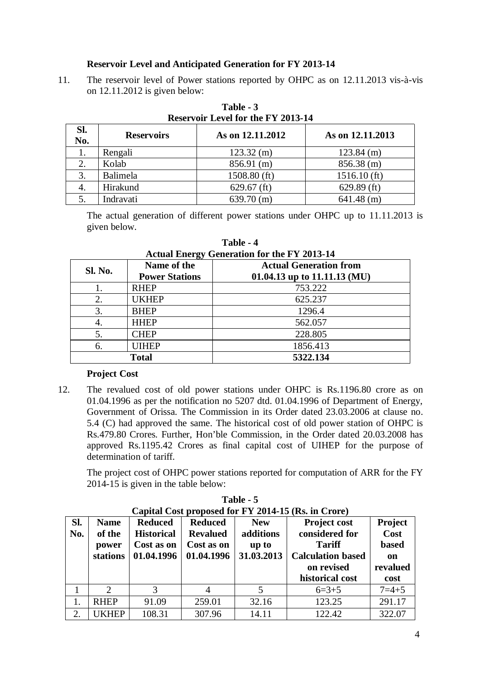#### **Reservoir Level and Anticipated Generation for FY 2013-14**

11. The reservoir level of Power stations reported by OHPC as on 12.11.2013 vis-à-vis on 12.11.2012 is given below:

| SI.<br>No. | <b>Reservoirs</b> | As on 12.11.2012 | As on 12.11.2013 |
|------------|-------------------|------------------|------------------|
|            | Rengali           | $123.32$ (m)     | $123.84$ (m)     |
|            | Kolab             | $856.91$ (m)     | $856.38$ (m)     |
| 3.         | Balimela          | $1508.80$ (ft)   | $1516.10$ (ft)   |
|            | Hirakund          | $629.67$ (ft)    | $629.89$ (ft)    |
|            | Indravati         | $639.70$ (m)     | $641.48$ (m)     |

#### **Table - 3 Reservoir Level for the FY 2013-14**

The actual generation of different power stations under OHPC up to 11.11.2013 is given below.

|                | Actual Enclev Ochcration for the $\Gamma$ 1 2015-14 |                               |  |  |  |  |
|----------------|-----------------------------------------------------|-------------------------------|--|--|--|--|
| <b>Sl. No.</b> | Name of the                                         | <b>Actual Generation from</b> |  |  |  |  |
|                | <b>Power Stations</b>                               | 01.04.13 up to 11.11.13 (MU)  |  |  |  |  |
|                | <b>RHEP</b>                                         | 753.222                       |  |  |  |  |
| 2.             | <b>UKHEP</b>                                        | 625.237                       |  |  |  |  |
| 3.             | <b>BHEP</b>                                         | 1296.4                        |  |  |  |  |
| 4.             | <b>HHEP</b>                                         | 562.057                       |  |  |  |  |
| 5.             | <b>CHEP</b>                                         | 228.805                       |  |  |  |  |
| 6.             | <b>UIHEP</b>                                        | 1856.413                      |  |  |  |  |
| <b>Total</b>   |                                                     | 5322.134                      |  |  |  |  |

#### **Table - 4 Actual Energy Generation for the FY 2013-14**

#### **Project Cost**

12. The revalued cost of old power stations under OHPC is Rs.1196.80 crore as on 01.04.1996 as per the notification no 5207 dtd. 01.04.1996 of Department of Energy, Government of Orissa. The Commission in its Order dated 23.03.2006 at clause no. 5.4 (C) had approved the same. The historical cost of old power station of OHPC is Rs.479.80 Crores. Further, Hon'ble Commission, in the Order dated 20.03.2008 has approved Rs.1195.42 Crores as final capital cost of UIHEP for the purpose of determination of tariff.

The project cost of OHPC power stations reported for computation of ARR for the FY 2014-15 is given in the table below:

|     | Capital Cost proposed for FY 2014-15 (Rs. in Crore) |                   |                 |            |                          |              |  |  |  |
|-----|-----------------------------------------------------|-------------------|-----------------|------------|--------------------------|--------------|--|--|--|
| Sl. | <b>Name</b>                                         | <b>Reduced</b>    | <b>Reduced</b>  | <b>New</b> | <b>Project cost</b>      | Project      |  |  |  |
| No. | of the                                              | <b>Historical</b> | <b>Revalued</b> | additions  | considered for           | Cost         |  |  |  |
|     | power                                               | Cost as on        | Cost as on      | up to      | <b>Tariff</b>            | <b>based</b> |  |  |  |
|     | stations                                            | 01.04.1996        | 01.04.1996      | 31.03.2013 | <b>Calculation based</b> | on           |  |  |  |
|     |                                                     |                   |                 |            | on revised               | revalued     |  |  |  |
|     |                                                     |                   |                 |            |                          |              |  |  |  |
|     |                                                     |                   |                 |            | historical cost          | cost         |  |  |  |
|     | $\mathcal{D}_{\mathcal{L}}$                         | 3                 | 4               | 5          | $6=3+5$                  | $7 = 4 + 5$  |  |  |  |
|     | <b>RHEP</b>                                         | 91.09             | 259.01          | 32.16      | 123.25                   | 291.17       |  |  |  |

**Table - 5 Capital Cost proposed for FY 2014-15 (Rs. in Crore)**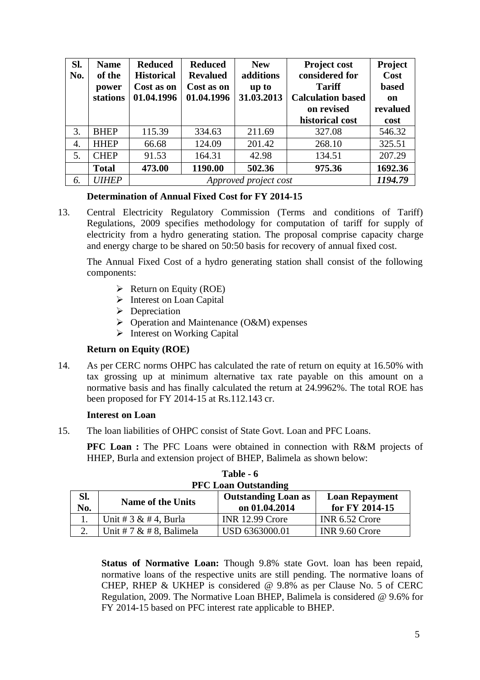| Sl.<br>No. | <b>Name</b><br>of the | <b>Reduced</b><br><b>Historical</b> | <b>Reduced</b><br><b>Revalued</b> | <b>New</b><br>additions | Project cost<br>considered for | Project<br>Cost |
|------------|-----------------------|-------------------------------------|-----------------------------------|-------------------------|--------------------------------|-----------------|
|            | power                 | Cost as on                          | Cost as on                        | up to                   | <b>Tariff</b>                  | <b>based</b>    |
|            | stations              | 01.04.1996                          | 01.04.1996                        | 31.03.2013              | <b>Calculation based</b>       | on              |
|            |                       |                                     |                                   |                         | on revised                     | revalued        |
|            |                       |                                     |                                   |                         | historical cost                | cost            |
| 3.         | <b>BHEP</b>           | 115.39                              | 334.63                            | 211.69                  | 327.08                         | 546.32          |
| 4.         | <b>HHEP</b>           | 66.68                               | 124.09                            | 201.42                  | 268.10                         | 325.51          |
| 5.         | <b>CHEP</b>           | 91.53                               | 164.31                            | 42.98                   | 134.51                         | 207.29          |
|            | <b>Total</b>          | 473.00                              | 1190.00                           | 502.36                  | 975.36                         | 1692.36         |
| 6.         | <b><i>UIHEP</i></b>   |                                     |                                   | Approved project cost   |                                | 1194.79         |

#### **Determination of Annual Fixed Cost for FY 2014-15**

13. Central Electricity Regulatory Commission (Terms and conditions of Tariff) Regulations, 2009 specifies methodology for computation of tariff for supply of electricity from a hydro generating station. The proposal comprise capacity charge and energy charge to be shared on 50:50 basis for recovery of annual fixed cost.

The Annual Fixed Cost of a hydro generating station shall consist of the following components:

- $\triangleright$  Return on Equity (ROE)
- $\triangleright$  Interest on Loan Capital
- $\triangleright$  Depreciation
- $\triangleright$  Operation and Maintenance (O&M) expenses
- $\triangleright$  Interest on Working Capital

#### **Return on Equity (ROE)**

14. As per CERC norms OHPC has calculated the rate of return on equity at 16.50% with tax grossing up at minimum alternative tax rate payable on this amount on a normative basis and has finally calculated the return at 24.9962%. The total ROE has been proposed for FY 2014-15 at Rs.112.143 cr.

#### **Interest on Loan**

15. The loan liabilities of OHPC consist of State Govt. Loan and PFC Loans.

**PFC Loan :** The PFC Loans were obtained in connection with R&M projects of HHEP, Burla and extension project of BHEP, Balimela as shown below:

| <b>PFC Loan Outstanding</b> |                           |                            |                                         |  |  |  |
|-----------------------------|---------------------------|----------------------------|-----------------------------------------|--|--|--|
| Sl.                         | <b>Name of the Units</b>  | <b>Outstanding Loan as</b> | <b>Loan Repayment</b><br>for FY 2014-15 |  |  |  |
| No.                         |                           | on 01.04.2014              |                                         |  |  |  |
|                             | Unit # $3 \& # 4$ , Burla | <b>INR 12.99 Crore</b>     | INR 6.52 Crore                          |  |  |  |
| $\mathcal{D}$               | Unit # 7 & # 8, Balimela  | USD 6363000.01             | INR 9.60 Crore                          |  |  |  |

| Table - 6            |
|----------------------|
| PFC Loan Outstanding |

**Status of Normative Loan:** Though 9.8% state Govt. loan has been repaid, normative loans of the respective units are still pending. The normative loans of CHEP, RHEP & UKHEP is considered @ 9.8% as per Clause No. 5 of CERC Regulation, 2009. The Normative Loan BHEP, Balimela is considered @ 9.6% for FY 2014-15 based on PFC interest rate applicable to BHEP.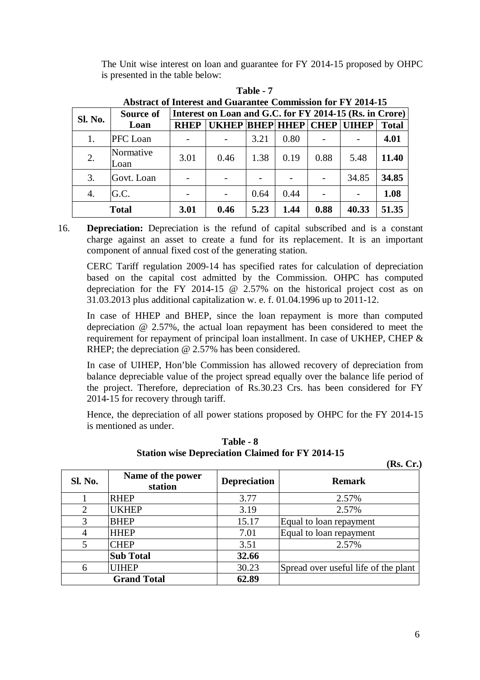The Unit wise interest on loan and guarantee for FY 2014-15 proposed by OHPC is presented in the table below:

|         | <b>Abstract of Interest and Guarantee Commission for FY 2014-15</b> |             |                                                         |      |      |      |       |              |  |  |
|---------|---------------------------------------------------------------------|-------------|---------------------------------------------------------|------|------|------|-------|--------------|--|--|
|         | Source of                                                           |             | Interest on Loan and G.C. for FY 2014-15 (Rs. in Crore) |      |      |      |       |              |  |  |
| Sl. No. | Loan                                                                | <b>RHEP</b> | UKHEP BHEP HHEP CHEP UIHEP                              |      |      |      |       | <b>Total</b> |  |  |
| 1.      | PFC Loan                                                            |             |                                                         | 3.21 | 0.80 |      |       | 4.01         |  |  |
| 2.      | Normative<br>Loan                                                   | 3.01        | 0.46                                                    | 1.38 | 0.19 | 0.88 | 5.48  | 11.40        |  |  |
| 3.      | Govt. Loan                                                          |             |                                                         |      |      |      | 34.85 | 34.85        |  |  |
| 4.      | G.C.                                                                |             |                                                         | 0.64 | 0.44 |      |       | 1.08         |  |  |
|         | <b>Total</b>                                                        | 3.01        | 0.46                                                    | 5.23 | 1.44 | 0.88 | 40.33 | 51.35        |  |  |

**Table - 7**

16. **Depreciation:** Depreciation is the refund of capital subscribed and is a constant charge against an asset to create a fund for its replacement. It is an important component of annual fixed cost of the generating station.

CERC Tariff regulation 2009-14 has specified rates for calculation of depreciation based on the capital cost admitted by the Commission. OHPC has computed depreciation for the FY 2014-15 @ 2.57% on the historical project cost as on 31.03.2013 plus additional capitalization w. e. f. 01.04.1996 up to 2011-12.

In case of HHEP and BHEP, since the loan repayment is more than computed depreciation @ 2.57%, the actual loan repayment has been considered to meet the requirement for repayment of principal loan installment. In case of UKHEP, CHEP & RHEP; the depreciation @ 2.57% has been considered.

In case of UIHEP, Hon'ble Commission has allowed recovery of depreciation from balance depreciable value of the project spread equally over the balance life period of the project. Therefore, depreciation of Rs.30.23 Crs. has been considered for FY 2014-15 for recovery through tariff.

Hence, the depreciation of all power stations proposed by OHPC for the FY 2014-15 is mentioned as under.

| <b>Sl. No.</b> | Name of the power<br>station | <b>Depreciation</b> | <b>Remark</b>                        |
|----------------|------------------------------|---------------------|--------------------------------------|
|                | RHEP                         | 3.77                | 2.57%                                |
| 2              | <b>UKHEP</b>                 | 3.19                | 2.57%                                |
| 3              | <b>BHEP</b>                  | 15.17               | Equal to loan repayment              |
| $\overline{4}$ | <b>HHEP</b>                  | 7.01                | Equal to loan repayment              |
|                | <b>CHEP</b>                  | 3.51                | 2.57%                                |
|                | <b>Sub Total</b>             | 32.66               |                                      |
| 6              | <b>UIHEP</b>                 | 30.23               | Spread over useful life of the plant |
|                | <b>Grand Total</b>           | 62.89               |                                      |

**Table - 8 Station wise Depreciation Claimed for FY 2014-15**

**(Rs. Cr.)**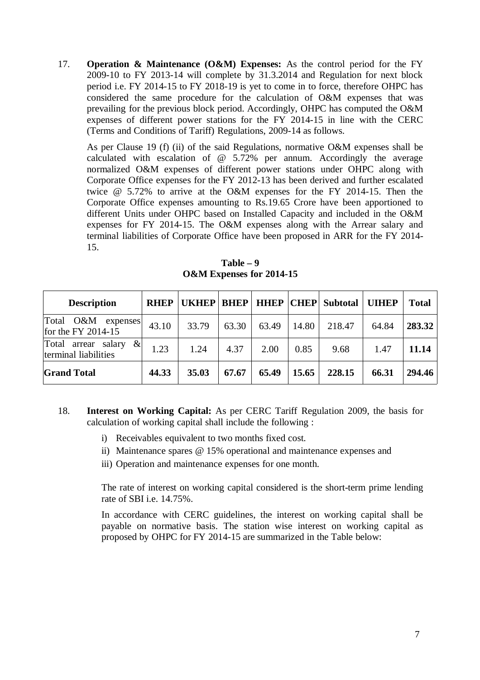17. **Operation & Maintenance (O&M) Expenses:** As the control period for the FY 2009-10 to FY 2013-14 will complete by 31.3.2014 and Regulation for next block period i.e. FY 2014-15 to FY 2018-19 is yet to come in to force, therefore OHPC has considered the same procedure for the calculation of O&M expenses that was prevailing for the previous block period. Accordingly, OHPC has computed the O&M expenses of different power stations for the FY 2014-15 in line with the CERC (Terms and Conditions of Tariff) Regulations, 2009-14 as follows.

As per Clause 19 (f) (ii) of the said Regulations, normative O&M expenses shall be calculated with escalation of @ 5.72% per annum. Accordingly the average normalized O&M expenses of different power stations under OHPC along with Corporate Office expenses for the FY 2012-13 has been derived and further escalated twice @ 5.72% to arrive at the O&M expenses for the FY 2014-15. Then the Corporate Office expenses amounting to Rs.19.65 Crore have been apportioned to different Units under OHPC based on Installed Capacity and included in the O&M expenses for FY 2014-15. The O&M expenses along with the Arrear salary and terminal liabilities of Corporate Office have been proposed in ARR for the FY 2014- 15.

 $Table - 9$ **O&M Expenses for 2014-15**

| <b>Description</b>                                     | <b>RHEP</b> | <b>UKHEP</b> | <b>BHEP</b> | <b>HHEP CHEP</b> |       | <b>Subtotal</b> | <b>UIHEP</b> | <b>Total</b> |
|--------------------------------------------------------|-------------|--------------|-------------|------------------|-------|-----------------|--------------|--------------|
| O&M<br>Total<br>expenses<br>for the FY 2014-15         | 43.10       | 33.79        | 63.30       | 63.49            | 14.80 | 218.47          | 64.84        | 283.32       |
| &<br>salary<br>Total<br>arrear<br>terminal liabilities | 1.23        | 1.24         | 4.37        | 2.00             | 0.85  | 9.68            | 1.47         | 11.14        |
| <b>Grand Total</b>                                     | 44.33       | 35.03        | 67.67       | 65.49            | 15.65 | 228.15          | 66.31        | 294.46       |

- 18. **Interest on Working Capital:** As per CERC Tariff Regulation 2009, the basis for calculation of working capital shall include the following :
	- i) Receivables equivalent to two months fixed cost.
	- ii) Maintenance spares @ 15% operational and maintenance expenses and
	- iii) Operation and maintenance expenses for one month.

The rate of interest on working capital considered is the short-term prime lending rate of SBI i.e. 14.75%.

In accordance with CERC guidelines, the interest on working capital shall be payable on normative basis. The station wise interest on working capital as proposed by OHPC for FY 2014-15 are summarized in the Table below: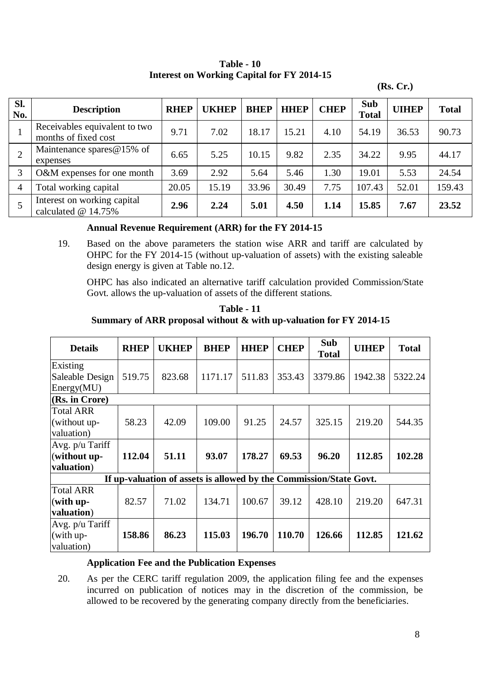| Sl.<br>No.     | <b>Description</b>                                    | <b>RHEP</b> | <b>UKHEP</b> | <b>BHEP</b> | <b>HHEP</b> | <b>CHEP</b> | Sub<br><b>Total</b> | <b>UIHEP</b> | <b>Total</b> |
|----------------|-------------------------------------------------------|-------------|--------------|-------------|-------------|-------------|---------------------|--------------|--------------|
|                | Receivables equivalent to two<br>months of fixed cost | 9.71        | 7.02         | 18.17       | 15.21       | 4.10        | 54.19               | 36.53        | 90.73        |
| $\overline{2}$ | Maintenance spares@15% of<br>expenses                 | 6.65        | 5.25         | 10.15       | 9.82        | 2.35        | 34.22               | 9.95         | 44.17        |
| 3              | O&M expenses for one month                            | 3.69        | 2.92         | 5.64        | 5.46        | 1.30        | 19.01               | 5.53         | 24.54        |
| $\overline{4}$ | Total working capital                                 | 20.05       | 15.19        | 33.96       | 30.49       | 7.75        | 107.43              | 52.01        | 159.43       |
|                | Interest on working capital<br>calculated $@14.75\%$  | 2.96        | 2.24         | 5.01        | 4.50        | 1.14        | 15.85               | 7.67         | 23.52        |

**Table - 10 Interest on Working Capital for FY 2014-15**

#### **Annual Revenue Requirement (ARR) for the FY 2014-15**

19. Based on the above parameters the station wise ARR and tariff are calculated by OHPC for the FY 2014-15 (without up-valuation of assets) with the existing saleable design energy is given at Table no.12.

OHPC has also indicated an alternative tariff calculation provided Commission/State Govt. allows the up-valuation of assets of the different stations.

**Table - 11 Summary of ARR proposal without & with up-valuation for FY 2014-15**

| <b>Details</b>                                        | <b>RHEP</b> | <b>UKHEP</b>                                                       | <b>BHEP</b> | <b>HHEP</b> | <b>CHEP</b> | Sub<br><b>Total</b> | <b>UIHEP</b> | <b>Total</b> |
|-------------------------------------------------------|-------------|--------------------------------------------------------------------|-------------|-------------|-------------|---------------------|--------------|--------------|
| Existing<br>Saleable Design                           | 519.75      | 823.68                                                             | 1171.17     | 511.83      | 353.43      | 3379.86             | 1942.38      | 5322.24      |
| Energy(MU)<br>(Rs. in Crore)                          |             |                                                                    |             |             |             |                     |              |              |
| <b>Total ARR</b><br>(without up-<br>valuation)        | 58.23       | 42.09                                                              | 109.00      | 91.25       | 24.57       | 325.15              | 219.20       | 544.35       |
| Avg. p/u Tariff<br>$\vert$ (without up-<br>valuation) | 112.04      | 51.11                                                              | 93.07       | 178.27      | 69.53       | 96.20               | 112.85       | 102.28       |
|                                                       |             | If up-valuation of assets is allowed by the Commission/State Govt. |             |             |             |                     |              |              |
| <b>Total ARR</b><br>$\sinh$ up-<br>valuation)         | 82.57       | 71.02                                                              | 134.71      | 100.67      | 39.12       | 428.10              | 219.20       | 647.31       |
| Avg. p/u Tariff<br>(with up-<br>valuation)            | 158.86      | 86.23                                                              | 115.03      | 196.70      | 110.70      | 126.66              | 112.85       | 121.62       |

#### **Application Fee and the Publication Expenses**

20. As per the CERC tariff regulation 2009, the application filing fee and the expenses incurred on publication of notices may in the discretion of the commission, be allowed to be recovered by the generating company directly from the beneficiaries.

**(Rs. Cr.)**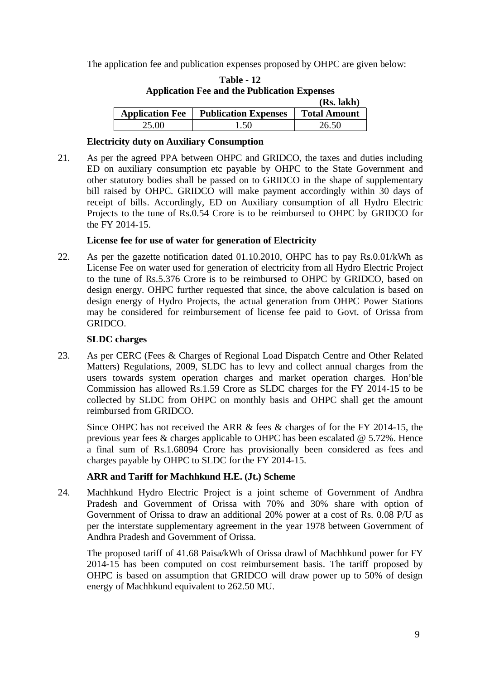The application fee and publication expenses proposed by OHPC are given below:

**Table - 12**

| <b>Table - 12</b><br><b>Application Fee and the Publication Expenses</b> |                             |                     |  |  |  |  |
|--------------------------------------------------------------------------|-----------------------------|---------------------|--|--|--|--|
| (Rs. lakh)                                                               |                             |                     |  |  |  |  |
| <b>Application Fee</b>                                                   | <b>Publication Expenses</b> | <b>Total Amount</b> |  |  |  |  |
| 25.00                                                                    | 1.50                        | 26.50               |  |  |  |  |

#### **Electricity duty on Auxiliary Consumption**

21. As per the agreed PPA between OHPC and GRIDCO, the taxes and duties including ED on auxiliary consumption etc payable by OHPC to the State Government and other statutory bodies shall be passed on to GRIDCO in the shape of supplementary bill raised by OHPC. GRIDCO will make payment accordingly within 30 days of receipt of bills. Accordingly, ED on Auxiliary consumption of all Hydro Electric Projects to the tune of Rs.0.54 Crore is to be reimbursed to OHPC by GRIDCO for the FY 2014-15.

## **License fee for use of water for generation of Electricity**

22. As per the gazette notification dated 01.10.2010, OHPC has to pay Rs.0.01/kWh as License Fee on water used for generation of electricity from all Hydro Electric Project to the tune of Rs.5.376 Crore is to be reimbursed to OHPC by GRIDCO, based on design energy. OHPC further requested that since, the above calculation is based on design energy of Hydro Projects, the actual generation from OHPC Power Stations may be considered for reimbursement of license fee paid to Govt. of Orissa from GRIDCO.

#### **SLDC charges**

23. As per CERC (Fees & Charges of Regional Load Dispatch Centre and Other Related Matters) Regulations, 2009, SLDC has to levy and collect annual charges from the users towards system operation charges and market operation charges. Hon'ble Commission has allowed Rs.1.59 Crore as SLDC charges for the FY 2014-15 to be collected by SLDC from OHPC on monthly basis and OHPC shall get the amount reimbursed from GRIDCO.

Since OHPC has not received the ARR & fees & charges of for the FY 2014-15, the previous year fees & charges applicable to OHPC has been escalated @ 5.72%. Hence a final sum of Rs.1.68094 Crore has provisionally been considered as fees and charges payable by OHPC to SLDC for the FY 2014-15.

## **ARR and Tariff for Machhkund H.E. (Jt.) Scheme**

24. Machhkund Hydro Electric Project is a joint scheme of Government of Andhra Pradesh and Government of Orissa with 70% and 30% share with option of Government of Orissa to draw an additional 20% power at a cost of Rs. 0.08 P/U as per the interstate supplementary agreement in the year 1978 between Government of Andhra Pradesh and Government of Orissa.

The proposed tariff of 41.68 Paisa/kWh of Orissa drawl of Machhkund power for FY 2014-15 has been computed on cost reimbursement basis. The tariff proposed by OHPC is based on assumption that GRIDCO will draw power up to 50% of design energy of Machhkund equivalent to 262.50 MU.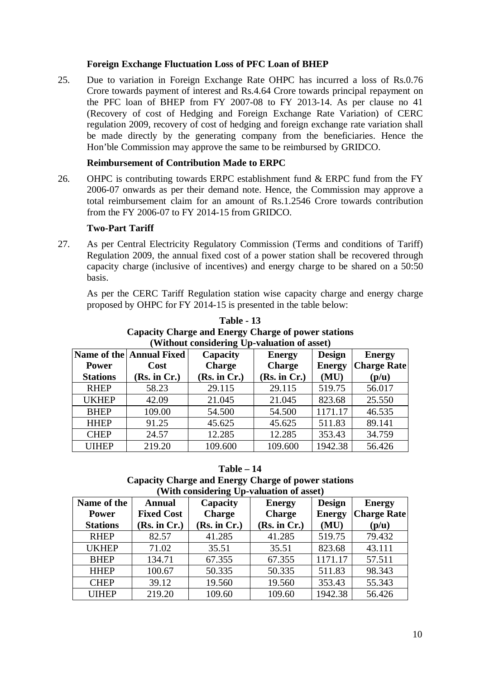#### **Foreign Exchange Fluctuation Loss of PFC Loan of BHEP**

25. Due to variation in Foreign Exchange Rate OHPC has incurred a loss of Rs.0.76 Crore towards payment of interest and Rs.4.64 Crore towards principal repayment on the PFC loan of BHEP from FY 2007-08 to FY 2013-14. As per clause no 41 (Recovery of cost of Hedging and Foreign Exchange Rate Variation) of CERC regulation 2009, recovery of cost of hedging and foreign exchange rate variation shall be made directly by the generating company from the beneficiaries. Hence the Hon'ble Commission may approve the same to be reimbursed by GRIDCO.

#### **Reimbursement of Contribution Made to ERPC**

26. OHPC is contributing towards ERPC establishment fund & ERPC fund from the FY 2006-07 onwards as per their demand note. Hence, the Commission may approve a total reimbursement claim for an amount of Rs.1.2546 Crore towards contribution from the FY 2006-07 to FY 2014-15 from GRIDCO.

#### **Two-Part Tariff**

27. As per Central Electricity Regulatory Commission (Terms and conditions of Tariff) Regulation 2009, the annual fixed cost of a power station shall be recovered through capacity charge (inclusive of incentives) and energy charge to be shared on a 50:50 basis.

As per the CERC Tariff Regulation station wise capacity charge and energy charge proposed by OHPC for FY 2014-15 is presented in the table below:

| (Without considering Up-valuation of asset) |                                      |               |               |               |                    |  |  |  |
|---------------------------------------------|--------------------------------------|---------------|---------------|---------------|--------------------|--|--|--|
|                                             | Name of the Annual Fixed<br>Capacity |               | <b>Energy</b> | <b>Design</b> | <b>Energy</b>      |  |  |  |
| <b>Power</b>                                | Cost                                 | <b>Charge</b> | <b>Charge</b> | <b>Energy</b> | <b>Charge Rate</b> |  |  |  |
| <b>Stations</b>                             | (Rs. in Cr.)                         | (Rs. in Cr.)  | (Rs. in Cr.)  | (MU)          | (p/u)              |  |  |  |
| <b>RHEP</b>                                 | 58.23                                | 29.115        | 29.115        | 519.75        | 56.017             |  |  |  |
| <b>UKHEP</b>                                | 42.09                                | 21.045        | 21.045        | 823.68        | 25.550             |  |  |  |
| <b>BHEP</b>                                 | 109.00                               | 54.500        | 54.500        | 1171.17       | 46.535             |  |  |  |
| <b>HHEP</b>                                 | 91.25                                | 45.625        | 45.625        | 511.83        | 89.141             |  |  |  |
| <b>CHEP</b>                                 | 24.57                                | 12.285        | 12.285        | 353.43        | 34.759             |  |  |  |
| <b>UIHEP</b>                                | 219.20                               | 109.600       | 109.600       | 1942.38       | 56.426             |  |  |  |

**Table - 13 Capacity Charge and Energy Charge of power stations**

#### **Table – 14**

**Capacity Charge and Energy Charge of power stations (With considering Up-valuation of asset)**

| Name of the     | <b>Annual</b>     | Capacity      | <b>Energy</b> | <b>Design</b> | <b>Energy</b>      |  |  |  |
|-----------------|-------------------|---------------|---------------|---------------|--------------------|--|--|--|
| <b>Power</b>    | <b>Fixed Cost</b> | <b>Charge</b> | <b>Charge</b> | <b>Energy</b> | <b>Charge Rate</b> |  |  |  |
| <b>Stations</b> | (Rs. in Cr.)      | (Rs. in Cr.)  | (Rs. in Cr.)  | (MU)          | (p/u)              |  |  |  |
| <b>RHEP</b>     | 82.57             | 41.285        | 41.285        | 519.75        | 79.432             |  |  |  |
| <b>UKHEP</b>    | 71.02             | 35.51         | 35.51         | 823.68        | 43.111             |  |  |  |
| <b>BHEP</b>     | 134.71            | 67.355        | 67.355        | 1171.17       | 57.511             |  |  |  |
| <b>HHEP</b>     | 100.67            | 50.335        | 50.335        | 511.83        | 98.343             |  |  |  |
| <b>CHEP</b>     | 39.12             | 19.560        | 19.560        | 353.43        | 55.343             |  |  |  |
| <b>UIHEP</b>    | 219.20            | 109.60        | 109.60        | 1942.38       | 56.426             |  |  |  |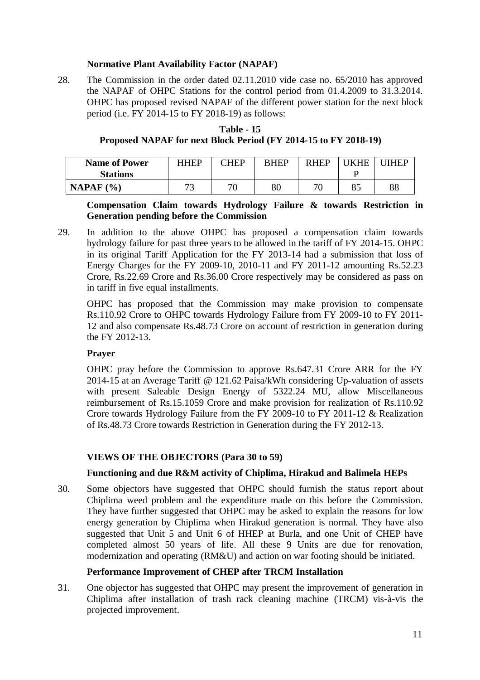#### **Normative Plant Availability Factor (NAPAF)**

28. The Commission in the order dated 02.11.2010 vide case no. 65/2010 has approved the NAPAF of OHPC Stations for the control period from 01.4.2009 to 31.3.2014. OHPC has proposed revised NAPAF of the different power station for the next block period (i.e. FY 2014-15 to FY 2018-19) as follows:

**Table - 15 Proposed NAPAF for next Block Period (FY 2014-15 to FY 2018-19)**

| <b>Name of Power</b> | <b>HHEP</b> | CHEP    | <b>BHEP</b> | <b>RHEP</b> | <b>KHF</b> | <b>IIHEP</b> |
|----------------------|-------------|---------|-------------|-------------|------------|--------------|
| <b>Stations</b>      |             |         |             |             |            |              |
| NAPAF $(%)$          | 72          | 70<br>ν | 80          | 70          | 85         | 88           |

#### **Compensation Claim towards Hydrology Failure & towards Restriction in Generation pending before the Commission**

29. In addition to the above OHPC has proposed a compensation claim towards hydrology failure for past three years to be allowed in the tariff of FY 2014-15. OHPC in its original Tariff Application for the FY 2013-14 had a submission that loss of Energy Charges for the FY 2009-10, 2010-11 and FY 2011-12 amounting Rs.52.23 Crore, Rs.22.69 Crore and Rs.36.00 Crore respectively may be considered as pass on in tariff in five equal installments.

OHPC has proposed that the Commission may make provision to compensate Rs.110.92 Crore to OHPC towards Hydrology Failure from FY 2009-10 to FY 2011- 12 and also compensate Rs.48.73 Crore on account of restriction in generation during the FY 2012-13.

## **Prayer**

OHPC pray before the Commission to approve Rs.647.31 Crore ARR for the FY 2014-15 at an Average Tariff @ 121.62 Paisa/kWh considering Up-valuation of assets with present Saleable Design Energy of 5322.24 MU, allow Miscellaneous reimbursement of Rs.15.1059 Crore and make provision for realization of Rs.110.92 Crore towards Hydrology Failure from the FY 2009-10 to FY 2011-12 & Realization of Rs.48.73 Crore towards Restriction in Generation during the FY 2012-13.

## **VIEWS OF THE OBJECTORS (Para 30 to 59)**

## **Functioning and due R&M activity of Chiplima, Hirakud and Balimela HEPs**

30. Some objectors have suggested that OHPC should furnish the status report about Chiplima weed problem and the expenditure made on this before the Commission. They have further suggested that OHPC may be asked to explain the reasons for low energy generation by Chiplima when Hirakud generation is normal. They have also suggested that Unit 5 and Unit 6 of HHEP at Burla, and one Unit of CHEP have completed almost 50 years of life. All these 9 Units are due for renovation, modernization and operating (RM&U) and action on war footing should be initiated.

## **Performance Improvement of CHEP after TRCM Installation**

31. One objector has suggested that OHPC may present the improvement of generation in Chiplima after installation of trash rack cleaning machine (TRCM) vis-à-vis the projected improvement.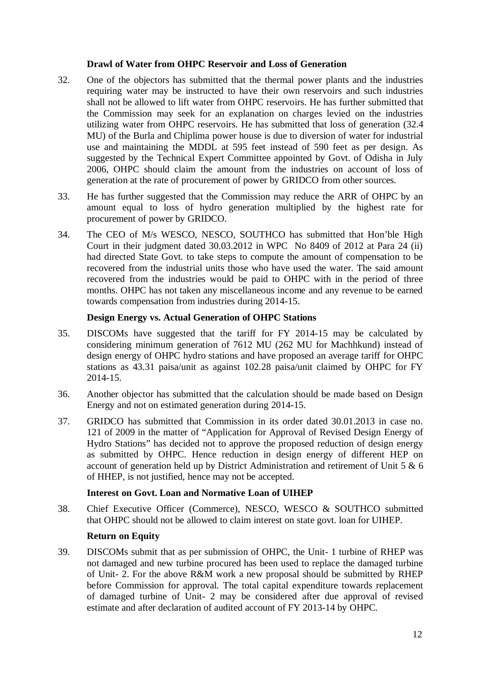#### **Drawl of Water from OHPC Reservoir and Loss of Generation**

- 32. One of the objectors has submitted that the thermal power plants and the industries requiring water may be instructed to have their own reservoirs and such industries shall not be allowed to lift water from OHPC reservoirs. He has further submitted that the Commission may seek for an explanation on charges levied on the industries utilizing water from OHPC reservoirs. He has submitted that loss of generation (32.4 MU) of the Burla and Chiplima power house is due to diversion of water for industrial use and maintaining the MDDL at 595 feet instead of 590 feet as per design. As suggested by the Technical Expert Committee appointed by Govt. of Odisha in July 2006, OHPC should claim the amount from the industries on account of loss of generation at the rate of procurement of power by GRIDCO from other sources.
- 33. He has further suggested that the Commission may reduce the ARR of OHPC by an amount equal to loss of hydro generation multiplied by the highest rate for procurement of power by GRIDCO.
- 34. The CEO of M/s WESCO, NESCO, SOUTHCO has submitted that Hon'ble High Court in their judgment dated 30.03.2012 in WPC No 8409 of 2012 at Para 24 (ii) had directed State Govt. to take steps to compute the amount of compensation to be recovered from the industrial units those who have used the water. The said amount recovered from the industries would be paid to OHPC with in the period of three months. OHPC has not taken any miscellaneous income and any revenue to be earned towards compensation from industries during 2014-15.

#### **Design Energy vs. Actual Generation of OHPC Stations**

- 35. DISCOMs have suggested that the tariff for FY 2014-15 may be calculated by considering minimum generation of 7612 MU (262 MU for Machhkund) instead of design energy of OHPC hydro stations and have proposed an average tariff for OHPC stations as 43.31 paisa/unit as against 102.28 paisa/unit claimed by OHPC for FY 2014-15.
- 36. Another objector has submitted that the calculation should be made based on Design Energy and not on estimated generation during 2014-15.
- 37. GRIDCO has submitted that Commission in its order dated 30.01.2013 in case no. 121 of 2009 in the matter of "Application for Approval of Revised Design Energy of Hydro Stations" has decided not to approve the proposed reduction of design energy as submitted by OHPC. Hence reduction in design energy of different HEP on account of generation held up by District Administration and retirement of Unit 5 & 6 of HHEP, is not justified, hence may not be accepted.

#### **Interest on Govt. Loan and Normative Loan of UIHEP**

38. Chief Executive Officer (Commerce), NESCO, WESCO & SOUTHCO submitted that OHPC should not be allowed to claim interest on state govt. loan for UIHEP.

#### **Return on Equity**

39. DISCOMs submit that as per submission of OHPC, the Unit- 1 turbine of RHEP was not damaged and new turbine procured has been used to replace the damaged turbine of Unit- 2. For the above R&M work a new proposal should be submitted by RHEP before Commission for approval. The total capital expenditure towards replacement of damaged turbine of Unit- 2 may be considered after due approval of revised estimate and after declaration of audited account of FY 2013-14 by OHPC.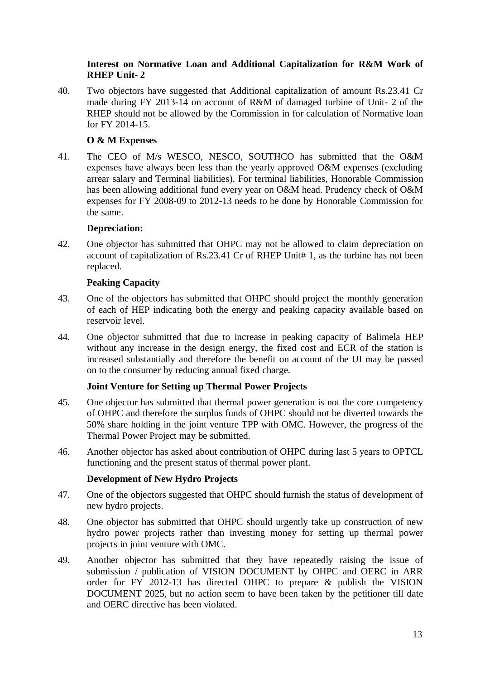#### **Interest on Normative Loan and Additional Capitalization for R&M Work of RHEP Unit- 2**

40. Two objectors have suggested that Additional capitalization of amount Rs.23.41 Cr made during FY 2013-14 on account of R&M of damaged turbine of Unit- 2 of the RHEP should not be allowed by the Commission in for calculation of Normative loan for FY 2014-15.

## **O & M Expenses**

41. The CEO of M/s WESCO, NESCO, SOUTHCO has submitted that the O&M expenses have always been less than the yearly approved O&M expenses (excluding arrear salary and Terminal liabilities). For terminal liabilities, Honorable Commission has been allowing additional fund every year on O&M head. Prudency check of O&M expenses for FY 2008-09 to 2012-13 needs to be done by Honorable Commission for the same.

#### **Depreciation:**

42. One objector has submitted that OHPC may not be allowed to claim depreciation on account of capitalization of Rs.23.41 Cr of RHEP Unit# 1, as the turbine has not been replaced.

#### **Peaking Capacity**

- 43. One of the objectors has submitted that OHPC should project the monthly generation of each of HEP indicating both the energy and peaking capacity available based on reservoir level.
- 44. One objector submitted that due to increase in peaking capacity of Balimela HEP without any increase in the design energy, the fixed cost and ECR of the station is increased substantially and therefore the benefit on account of the UI may be passed on to the consumer by reducing annual fixed charge.

## **Joint Venture for Setting up Thermal Power Projects**

- 45. One objector has submitted that thermal power generation is not the core competency of OHPC and therefore the surplus funds of OHPC should not be diverted towards the 50% share holding in the joint venture TPP with OMC. However, the progress of the Thermal Power Project may be submitted.
- 46. Another objector has asked about contribution of OHPC during last 5 years to OPTCL functioning and the present status of thermal power plant.

#### **Development of New Hydro Projects**

- 47. One of the objectors suggested that OHPC should furnish the status of development of new hydro projects.
- 48. One objector has submitted that OHPC should urgently take up construction of new hydro power projects rather than investing money for setting up thermal power projects in joint venture with OMC.
- 49. Another objector has submitted that they have repeatedly raising the issue of submission / publication of VISION DOCUMENT by OHPC and OERC in ARR order for FY 2012-13 has directed OHPC to prepare & publish the VISION DOCUMENT 2025, but no action seem to have been taken by the petitioner till date and OERC directive has been violated.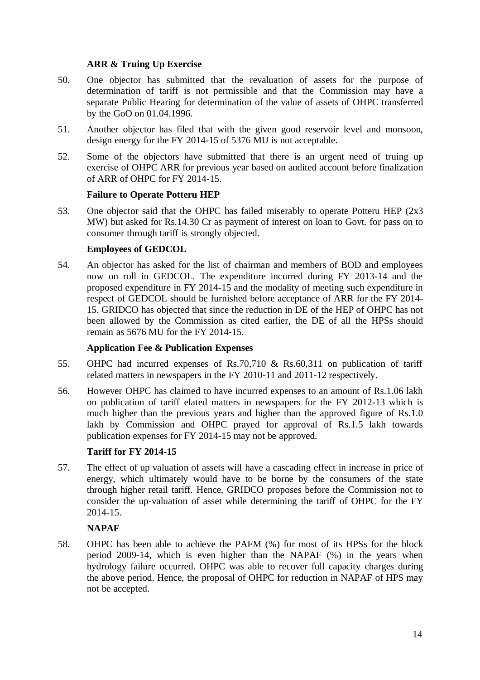### **ARR & Truing Up Exercise**

- 50. One objector has submitted that the revaluation of assets for the purpose of determination of tariff is not permissible and that the Commission may have a separate Public Hearing for determination of the value of assets of OHPC transferred by the GoO on 01.04.1996.
- 51. Another objector has filed that with the given good reservoir level and monsoon, design energy for the FY 2014-15 of 5376 MU is not acceptable.
- 52. Some of the objectors have submitted that there is an urgent need of truing up exercise of OHPC ARR for previous year based on audited account before finalization of ARR of OHPC for FY 2014-15.

#### **Failure to Operate Potteru HEP**

53. One objector said that the OHPC has failed miserably to operate Potteru HEP (2x3 MW) but asked for Rs.14.30 Cr as payment of interest on loan to Govt. for pass on to consumer through tariff is strongly objected.

#### **Employees of GEDCOL**

54. An objector has asked for the list of chairman and members of BOD and employees now on roll in GEDCOL. The expenditure incurred during FY 2013-14 and the proposed expenditure in FY 2014-15 and the modality of meeting such expenditure in respect of GEDCOL should be furnished before acceptance of ARR for the FY 2014- 15. GRIDCO has objected that since the reduction in DE of the HEP of OHPC has not been allowed by the Commission as cited earlier, the DE of all the HPSs should remain as 5676 MU for the FY 2014-15.

## **Application Fee & Publication Expenses**

- 55. OHPC had incurred expenses of Rs.70,710 & Rs.60,311 on publication of tariff related matters in newspapers in the FY 2010-11 and 2011-12 respectively.
- 56. However OHPC has claimed to have incurred expenses to an amount of Rs.1.06 lakh on publication of tariff elated matters in newspapers for the FY 2012-13 which is much higher than the previous years and higher than the approved figure of Rs.1.0 lakh by Commission and OHPC prayed for approval of Rs.1.5 lakh towards publication expenses for FY 2014-15 may not be approved.

## **Tariff for FY 2014-15**

57. The effect of up valuation of assets will have a cascading effect in increase in price of energy, which ultimately would have to be borne by the consumers of the state through higher retail tariff. Hence, GRIDCO proposes before the Commission not to consider the up-valuation of asset while determining the tariff of OHPC for the FY 2014-15.

# **NAPAF**

58. OHPC has been able to achieve the PAFM (%) for most of its HPSs for the block period 2009-14, which is even higher than the NAPAF (%) in the years when hydrology failure occurred. OHPC was able to recover full capacity charges during the above period. Hence, the proposal of OHPC for reduction in NAPAF of HPS may not be accepted.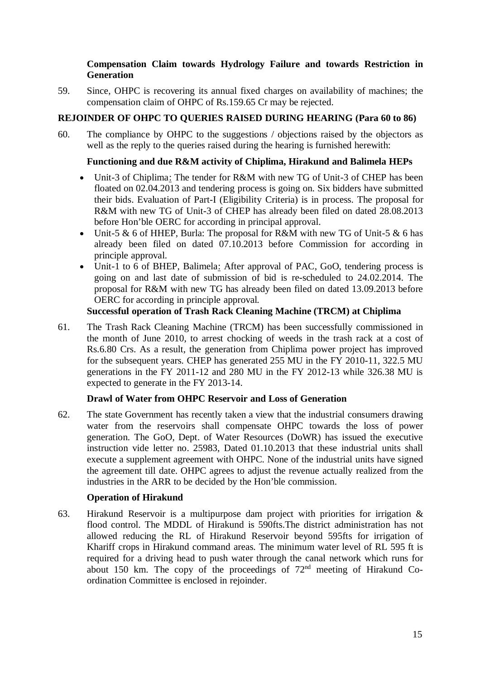#### **Compensation Claim towards Hydrology Failure and towards Restriction in Generation**

59. Since, OHPC is recovering its annual fixed charges on availability of machines; the compensation claim of OHPC of Rs.159.65 Cr may be rejected.

# **REJOINDER OF OHPC TO QUERIES RAISED DURING HEARING (Para 60 to 86)**

60. The compliance by OHPC to the suggestions / objections raised by the objectors as well as the reply to the queries raised during the hearing is furnished herewith:

## **Functioning and due R&M activity of Chiplima, Hirakund and Balimela HEPs**

- Unit-3 of Chiplima: The tender for R&M with new TG of Unit-3 of CHEP has been floated on 02.04.2013 and tendering process is going on. Six bidders have submitted their bids. Evaluation of Part-I (Eligibility Criteria) is in process. The proposal for R&M with new TG of Unit-3 of CHEP has already been filed on dated 28.08.2013 before Hon'ble OERC for according in principal approval.
- Unit-5  $\&$  6 of HHEP, Burla: The proposal for R&M with new TG of Unit-5  $\&$  6 has already been filed on dated 07.10.2013 before Commission for according in principle approval.
- Unit-1 to 6 of BHEP, Balimela: After approval of PAC, GoO, tendering process is going on and last date of submission of bid is re-scheduled to 24.02.2014. The proposal for R&M with new TG has already been filed on dated 13.09.2013 before OERC for according in principle approval.

## **Successful operation of Trash Rack Cleaning Machine (TRCM) at Chiplima**

61. The Trash Rack Cleaning Machine (TRCM) has been successfully commissioned in the month of June 2010, to arrest chocking of weeds in the trash rack at a cost of Rs.6.80 Crs. As a result, the generation from Chiplima power project has improved for the subsequent years. CHEP has generated 255 MU in the FY 2010-11, 322.5 MU generations in the FY 2011-12 and 280 MU in the FY 2012-13 while 326.38 MU is expected to generate in the FY 2013-14.

## **Drawl of Water from OHPC Reservoir and Loss of Generation**

62. The state Government has recently taken a view that the industrial consumers drawing water from the reservoirs shall compensate OHPC towards the loss of power generation. The GoO, Dept. of Water Resources (DoWR) has issued the executive instruction vide letter no. 25983, Dated 01.10.2013 that these industrial units shall execute a supplement agreement with OHPC. None of the industrial units have signed the agreement till date. OHPC agrees to adjust the revenue actually realized from the industries in the ARR to be decided by the Hon'ble commission.

## **Operation of Hirakund**

63. Hirakund Reservoir is a multipurpose dam project with priorities for irrigation & flood control. The MDDL of Hirakund is 590fts.The district administration has not allowed reducing the RL of Hirakund Reservoir beyond 595fts for irrigation of Khariff crops in Hirakund command areas. The minimum water level of RL 595 ft is required for a driving head to push water through the canal network which runs for about 150 km. The copy of the proceedings of  $72<sup>nd</sup>$  meeting of Hirakund Coordination Committee is enclosed in rejoinder.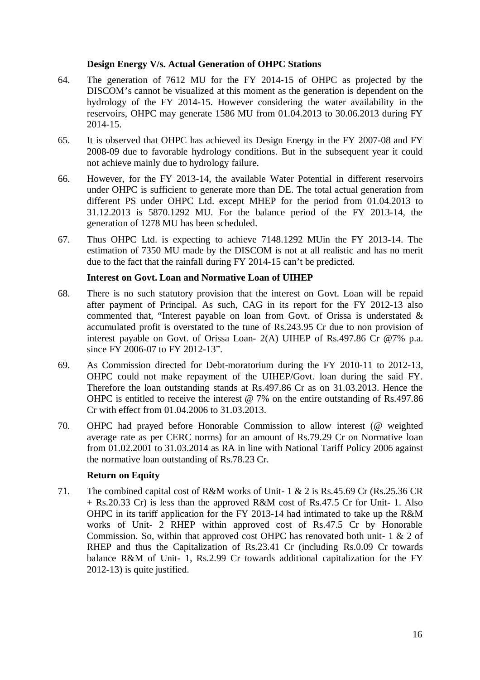#### **Design Energy V/s. Actual Generation of OHPC Stations**

- 64. The generation of 7612 MU for the FY 2014-15 of OHPC as projected by the DISCOM's cannot be visualized at this moment as the generation is dependent on the hydrology of the FY 2014-15. However considering the water availability in the reservoirs, OHPC may generate 1586 MU from 01.04.2013 to 30.06.2013 during FY 2014-15.
- 65. It is observed that OHPC has achieved its Design Energy in the FY 2007-08 and FY 2008-09 due to favorable hydrology conditions. But in the subsequent year it could not achieve mainly due to hydrology failure.
- 66. However, for the FY 2013-14, the available Water Potential in different reservoirs under OHPC is sufficient to generate more than DE. The total actual generation from different PS under OHPC Ltd. except MHEP for the period from 01.04.2013 to 31.12.2013 is 5870.1292 MU. For the balance period of the FY 2013-14, the generation of 1278 MU has been scheduled.
- 67. Thus OHPC Ltd. is expecting to achieve 7148.1292 MUin the FY 2013-14. The estimation of 7350 MU made by the DISCOM is not at all realistic and has no merit due to the fact that the rainfall during FY 2014-15 can't be predicted.

#### **Interest on Govt. Loan and Normative Loan of UIHEP**

- 68. There is no such statutory provision that the interest on Govt. Loan will be repaid after payment of Principal. As such, CAG in its report for the FY 2012-13 also commented that, "Interest payable on loan from Govt. of Orissa is understated & accumulated profit is overstated to the tune of Rs.243.95 Cr due to non provision of interest payable on Govt. of Orissa Loan- 2(A) UIHEP of Rs.497.86 Cr @7% p.a. since FY 2006-07 to FY 2012-13".
- 69. As Commission directed for Debt-moratorium during the FY 2010-11 to 2012-13, OHPC could not make repayment of the UIHEP/Govt. loan during the said FY. Therefore the loan outstanding stands at Rs.497.86 Cr as on 31.03.2013. Hence the OHPC is entitled to receive the interest @ 7% on the entire outstanding of Rs.497.86 Cr with effect from 01.04.2006 to 31.03.2013.
- 70. OHPC had prayed before Honorable Commission to allow interest (@ weighted average rate as per CERC norms) for an amount of Rs.79.29 Cr on Normative loan from 01.02.2001 to 31.03.2014 as RA in line with National Tariff Policy 2006 against the normative loan outstanding of Rs.78.23 Cr.

#### **Return on Equity**

71. The combined capital cost of R&M works of Unit- 1 & 2 is Rs.45.69 Cr (Rs.25.36 CR + Rs.20.33 Cr) is less than the approved R&M cost of Rs.47.5 Cr for Unit- 1. Also OHPC in its tariff application for the FY 2013-14 had intimated to take up the R&M works of Unit- 2 RHEP within approved cost of Rs.47.5 Cr by Honorable Commission. So, within that approved cost OHPC has renovated both unit- 1 & 2 of RHEP and thus the Capitalization of Rs.23.41 Cr (including Rs.0.09 Cr towards balance R&M of Unit- 1, Rs.2.99 Cr towards additional capitalization for the FY 2012-13) is quite justified.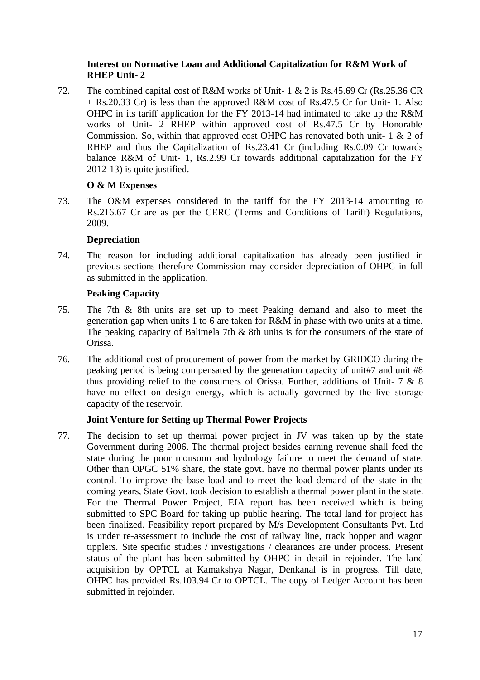#### **Interest on Normative Loan and Additional Capitalization for R&M Work of RHEP Unit- 2**

72. The combined capital cost of R&M works of Unit- 1 & 2 is Rs.45.69 Cr (Rs.25.36 CR + Rs.20.33 Cr) is less than the approved R&M cost of Rs.47.5 Cr for Unit- 1. Also OHPC in its tariff application for the FY 2013-14 had intimated to take up the R&M works of Unit- 2 RHEP within approved cost of Rs.47.5 Cr by Honorable Commission. So, within that approved cost OHPC has renovated both unit- 1 & 2 of RHEP and thus the Capitalization of Rs. 23.41 Cr (including Rs. 0.09 Cr towards balance R&M of Unit- 1, Rs.2.99 Cr towards additional capitalization for the FY 2012-13) is quite justified.

## **O & M Expenses**

73. The O&M expenses considered in the tariff for the FY 2013-14 amounting to Rs.216.67 Cr are as per the CERC (Terms and Conditions of Tariff) Regulations, 2009.

#### **Depreciation**

74. The reason for including additional capitalization has already been justified in previous sections therefore Commission may consider depreciation of OHPC in full as submitted in the application.

## **Peaking Capacity**

- 75. The 7th & 8th units are set up to meet Peaking demand and also to meet the generation gap when units 1 to 6 are taken for R&M in phase with two units at a time. The peaking capacity of Balimela 7th & 8th units is for the consumers of the state of Orissa.
- 76. The additional cost of procurement of power from the market by GRIDCO during the peaking period is being compensated by the generation capacity of unit#7 and unit #8 thus providing relief to the consumers of Orissa. Further, additions of Unit- 7 & 8 have no effect on design energy, which is actually governed by the live storage capacity of the reservoir.

## **Joint Venture for Setting up Thermal Power Projects**

77. The decision to set up thermal power project in JV was taken up by the state Government during 2006. The thermal project besides earning revenue shall feed the state during the poor monsoon and hydrology failure to meet the demand of state. Other than OPGC 51% share, the state govt. have no thermal power plants under its control. To improve the base load and to meet the load demand of the state in the coming years, State Govt. took decision to establish a thermal power plant in the state. For the Thermal Power Project, EIA report has been received which is being submitted to SPC Board for taking up public hearing. The total land for project has been finalized. Feasibility report prepared by M/s Development Consultants Pvt. Ltd is under re-assessment to include the cost of railway line, track hopper and wagon tipplers. Site specific studies / investigations / clearances are under process. Present status of the plant has been submitted by OHPC in detail in rejoinder. The land acquisition by OPTCL at Kamakshya Nagar, Denkanal is in progress. Till date, OHPC has provided Rs.103.94 Cr to OPTCL. The copy of Ledger Account has been submitted in rejoinder.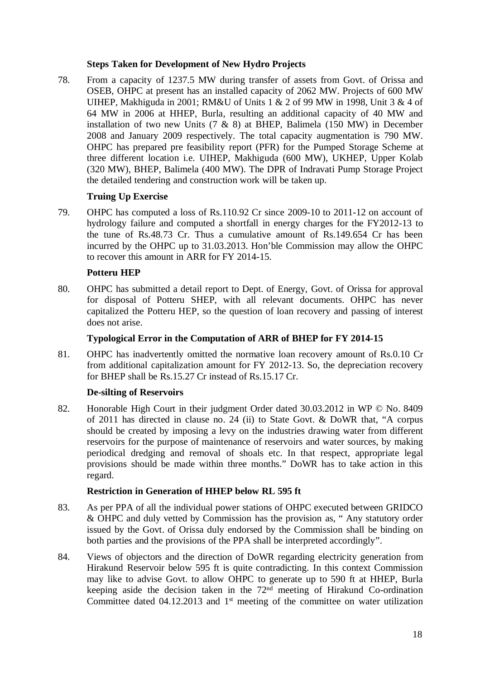#### **Steps Taken for Development of New Hydro Projects**

78. From a capacity of 1237.5 MW during transfer of assets from Govt. of Orissa and OSEB, OHPC at present has an installed capacity of 2062 MW. Projects of 600 MW UIHEP, Makhiguda in 2001; RM&U of Units 1 & 2 of 99 MW in 1998, Unit 3 & 4 of 64 MW in 2006 at HHEP, Burla, resulting an additional capacity of 40 MW and installation of two new Units (7 & 8) at BHEP, Balimela (150 MW) in December 2008 and January 2009 respectively. The total capacity augmentation is 790 MW. OHPC has prepared pre feasibility report (PFR) for the Pumped Storage Scheme at three different location i.e. UIHEP, Makhiguda (600 MW), UKHEP, Upper Kolab (320 MW), BHEP, Balimela (400 MW). The DPR of Indravati Pump Storage Project the detailed tendering and construction work will be taken up.

## **Truing Up Exercise**

79. OHPC has computed a loss of Rs.110.92 Cr since 2009-10 to 2011-12 on account of hydrology failure and computed a shortfall in energy charges for the FY2012-13 to the tune of Rs.48.73 Cr. Thus a cumulative amount of Rs.149.654 Cr has been incurred by the OHPC up to 31.03.2013. Hon'ble Commission may allow the OHPC to recover this amount in ARR for FY 2014-15.

#### **Potteru HEP**

80. OHPC has submitted a detail report to Dept. of Energy, Govt. of Orissa for approval for disposal of Potteru SHEP, with all relevant documents. OHPC has never capitalized the Potteru HEP, so the question of loan recovery and passing of interest does not arise.

#### **Typological Error in the Computation of ARR of BHEP for FY 2014-15**

81. OHPC has inadvertently omitted the normative loan recovery amount of Rs.0.10 Cr from additional capitalization amount for FY 2012-13. So, the depreciation recovery for BHEP shall be Rs.15.27 Cr instead of Rs.15.17 Cr.

## **De-silting of Reservoirs**

82. Honorable High Court in their judgment Order dated 30.03.2012 in WP © No. 8409 of 2011 has directed in clause no. 24 (ii) to State Govt. & DoWR that, "A corpus should be created by imposing a levy on the industries drawing water from different reservoirs for the purpose of maintenance of reservoirs and water sources, by making periodical dredging and removal of shoals etc. In that respect, appropriate legal provisions should be made within three months." DoWR has to take action in this regard.

#### **Restriction in Generation of HHEP below RL 595 ft**

- 83. As per PPA of all the individual power stations of OHPC executed between GRIDCO & OHPC and duly vetted by Commission has the provision as, " Any statutory order issued by the Govt. of Orissa duly endorsed by the Commission shall be binding on both parties and the provisions of the PPA shall be interpreted accordingly".
- 84. Views of objectors and the direction of DoWR regarding electricity generation from Hirakund Reservoir below 595 ft is quite contradicting. In this context Commission may like to advise Govt. to allow OHPC to generate up to 590 ft at HHEP, Burla keeping aside the decision taken in the  $72<sup>nd</sup>$  meeting of Hirakund Co-ordination Committee dated  $04.12.2013$  and  $1<sup>st</sup>$  meeting of the committee on water utilization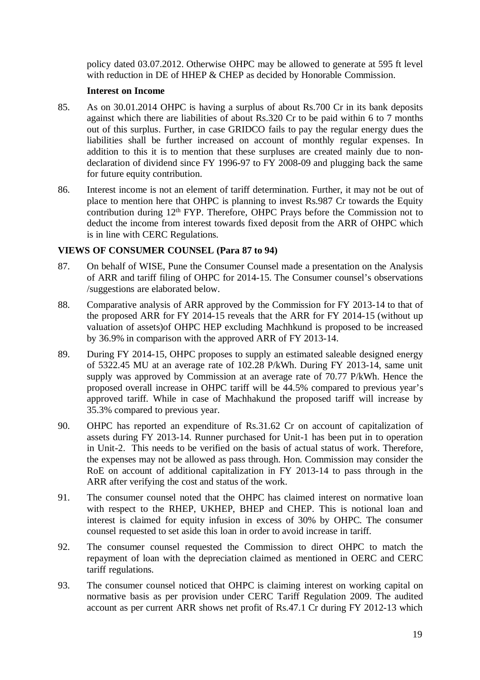policy dated 03.07.2012. Otherwise OHPC may be allowed to generate at 595 ft level with reduction in DE of HHEP & CHEP as decided by Honorable Commission.

#### **Interest on Income**

- 85. As on 30.01.2014 OHPC is having a surplus of about Rs.700 Cr in its bank deposits against which there are liabilities of about Rs.320 Cr to be paid within 6 to 7 months out of this surplus. Further, in case GRIDCO fails to pay the regular energy dues the liabilities shall be further increased on account of monthly regular expenses. In addition to this it is to mention that these surpluses are created mainly due to nondeclaration of dividend since FY 1996-97 to FY 2008-09 and plugging back the same for future equity contribution.
- 86. Interest income is not an element of tariff determination. Further, it may not be out of place to mention here that OHPC is planning to invest Rs.987 Cr towards the Equity contribution during  $12<sup>th</sup>$  FYP. Therefore, OHPC Prays before the Commission not to deduct the income from interest towards fixed deposit from the ARR of OHPC which is in line with CERC Regulations.

## **VIEWS OF CONSUMER COUNSEL (Para 87 to 94)**

- 87. On behalf of WISE, Pune the Consumer Counsel made a presentation on the Analysis of ARR and tariff filing of OHPC for 2014-15. The Consumer counsel's observations /suggestions are elaborated below.
- 88. Comparative analysis of ARR approved by the Commission for FY 2013-14 to that of the proposed ARR for FY 2014-15 reveals that the ARR for FY 2014-15 (without up valuation of assets)of OHPC HEP excluding Machhkund is proposed to be increased by 36.9% in comparison with the approved ARR of FY 2013-14.
- 89. During FY 2014-15, OHPC proposes to supply an estimated saleable designed energy of 5322.45 MU at an average rate of 102.28 P/kWh. During FY 2013-14, same unit supply was approved by Commission at an average rate of 70.77 P/kWh. Hence the proposed overall increase in OHPC tariff will be 44.5% compared to previous year's approved tariff. While in case of Machhakund the proposed tariff will increase by 35.3% compared to previous year.
- 90. OHPC has reported an expenditure of Rs.31.62 Cr on account of capitalization of assets during FY 2013-14. Runner purchased for Unit-1 has been put in to operation in Unit-2. This needs to be verified on the basis of actual status of work. Therefore, the expenses may not be allowed as pass through. Hon. Commission may consider the RoE on account of additional capitalization in FY 2013-14 to pass through in the ARR after verifying the cost and status of the work.
- 91. The consumer counsel noted that the OHPC has claimed interest on normative loan with respect to the RHEP, UKHEP, BHEP and CHEP. This is notional loan and interest is claimed for equity infusion in excess of 30% by OHPC. The consumer counsel requested to set aside this loan in order to avoid increase in tariff.
- 92. The consumer counsel requested the Commission to direct OHPC to match the repayment of loan with the depreciation claimed as mentioned in OERC and CERC tariff regulations.
- 93. The consumer counsel noticed that OHPC is claiming interest on working capital on normative basis as per provision under CERC Tariff Regulation 2009. The audited account as per current ARR shows net profit of Rs.47.1 Cr during FY 2012-13 which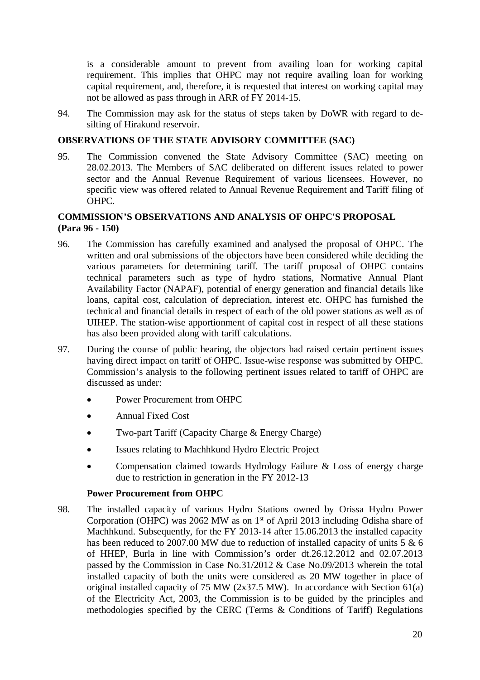is a considerable amount to prevent from availing loan for working capital requirement. This implies that OHPC may not require availing loan for working capital requirement, and, therefore, it is requested that interest on working capital may not be allowed as pass through in ARR of FY 2014-15.

94. The Commission may ask for the status of steps taken by DoWR with regard to desilting of Hirakund reservoir.

## **OBSERVATIONS OF THE STATE ADVISORY COMMITTEE (SAC)**

95. The Commission convened the State Advisory Committee (SAC) meeting on 28.02.2013. The Members of SAC deliberated on different issues related to power sector and the Annual Revenue Requirement of various licensees. However, no specific view was offered related to Annual Revenue Requirement and Tariff filing of OHPC.

# **COMMISSION'S OBSERVATIONS AND ANALYSIS OF OHPC'S PROPOSAL (Para 96 - 150)**

- 96. The Commission has carefully examined and analysed the proposal of OHPC. The written and oral submissions of the objectors have been considered while deciding the various parameters for determining tariff. The tariff proposal of OHPC contains technical parameters such as type of hydro stations, Normative Annual Plant Availability Factor (NAPAF), potential of energy generation and financial details like loans, capital cost, calculation of depreciation, interest etc. OHPC has furnished the technical and financial details in respect of each of the old power stations as well as of UIHEP. The station-wise apportionment of capital cost in respect of all these stations has also been provided along with tariff calculations.
- 97. During the course of public hearing, the objectors had raised certain pertinent issues having direct impact on tariff of OHPC. Issue-wise response was submitted by OHPC. Commission's analysis to the following pertinent issues related to tariff of OHPC are discussed as under:
	- Power Procurement from OHPC
	- Annual Fixed Cost
	- Two-part Tariff (Capacity Charge & Energy Charge)
	- Issues relating to Machhkund Hydro Electric Project
	- Compensation claimed towards Hydrology Failure & Loss of energy charge due to restriction in generation in the FY 2012-13

#### **Power Procurement from OHPC**

98. The installed capacity of various Hydro Stations owned by Orissa Hydro Power Corporation (OHPC) was 2062 MW as on 1 st of April 2013 including Odisha share of Machhkund. Subsequently, for the FY 2013-14 after 15.06.2013 the installed capacity has been reduced to 2007.00 MW due to reduction of installed capacity of units 5 & 6 of HHEP, Burla in line with Commission's order dt.26.12.2012 and 02.07.2013 passed by the Commission in Case No.31/2012 & Case No.09/2013 wherein the total installed capacity of both the units were considered as 20 MW together in place of original installed capacity of 75 MW ( $2x37.5$  MW). In accordance with Section 61(a) of the Electricity Act, 2003, the Commission is to be guided by the principles and methodologies specified by the CERC (Terms & Conditions of Tariff) Regulations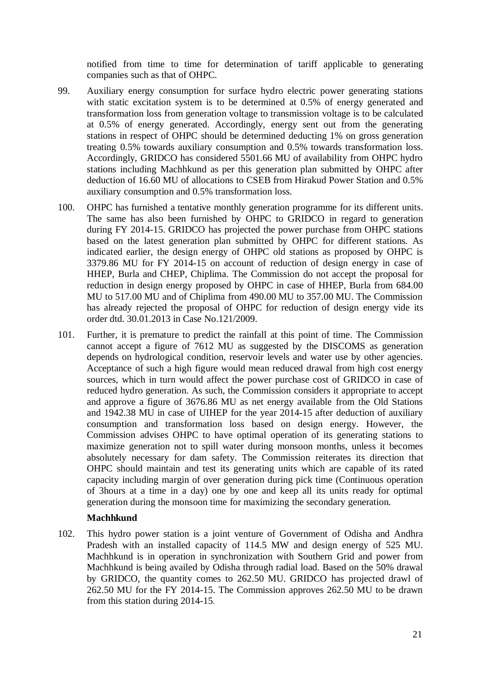notified from time to time for determination of tariff applicable to generating companies such as that of OHPC.

- 99. Auxiliary energy consumption for surface hydro electric power generating stations with static excitation system is to be determined at 0.5% of energy generated and transformation loss from generation voltage to transmission voltage is to be calculated at 0.5% of energy generated. Accordingly, energy sent out from the generating stations in respect of OHPC should be determined deducting 1% on gross generation treating 0.5% towards auxiliary consumption and 0.5% towards transformation loss. Accordingly, GRIDCO has considered 5501.66 MU of availability from OHPC hydro stations including Machhkund as per this generation plan submitted by OHPC after deduction of 16.60 MU of allocations to CSEB from Hirakud Power Station and 0.5% auxiliary consumption and 0.5% transformation loss.
- 100. OHPC has furnished a tentative monthly generation programme for its different units. The same has also been furnished by OHPC to GRIDCO in regard to generation during FY 2014-15. GRIDCO has projected the power purchase from OHPC stations based on the latest generation plan submitted by OHPC for different stations. As indicated earlier, the design energy of OHPC old stations as proposed by OHPC is 3379.86 MU for FY 2014-15 on account of reduction of design energy in case of HHEP, Burla and CHEP, Chiplima. The Commission do not accept the proposal for reduction in design energy proposed by OHPC in case of HHEP, Burla from 684.00 MU to 517.00 MU and of Chiplima from 490.00 MU to 357.00 MU. The Commission has already rejected the proposal of OHPC for reduction of design energy vide its order dtd. 30.01.2013 in Case No.121/2009.
- 101. Further, it is premature to predict the rainfall at this point of time. The Commission cannot accept a figure of 7612 MU as suggested by the DISCOMS as generation depends on hydrological condition, reservoir levels and water use by other agencies. Acceptance of such a high figure would mean reduced drawal from high cost energy sources, which in turn would affect the power purchase cost of GRIDCO in case of reduced hydro generation. As such, the Commission considers it appropriate to accept and approve a figure of 3676.86 MU as net energy available from the Old Stations and 1942.38 MU in case of UIHEP for the year 2014-15 after deduction of auxiliary consumption and transformation loss based on design energy. However, the Commission advises OHPC to have optimal operation of its generating stations to maximize generation not to spill water during monsoon months, unless it becomes absolutely necessary for dam safety. The Commission reiterates its direction that OHPC should maintain and test its generating units which are capable of its rated capacity including margin of over generation during pick time (Continuous operation of 3hours at a time in a day) one by one and keep all its units ready for optimal generation during the monsoon time for maximizing the secondary generation.

#### **Machhkund**

102. This hydro power station is a joint venture of Government of Odisha and Andhra Pradesh with an installed capacity of 114.5 MW and design energy of 525 MU. Machhkund is in operation in synchronization with Southern Grid and power from Machhkund is being availed by Odisha through radial load. Based on the 50% drawal by GRIDCO, the quantity comes to 262.50 MU. GRIDCO has projected drawl of 262.50 MU for the FY 2014-15. The Commission approves 262.50 MU to be drawn from this station during 2014-15.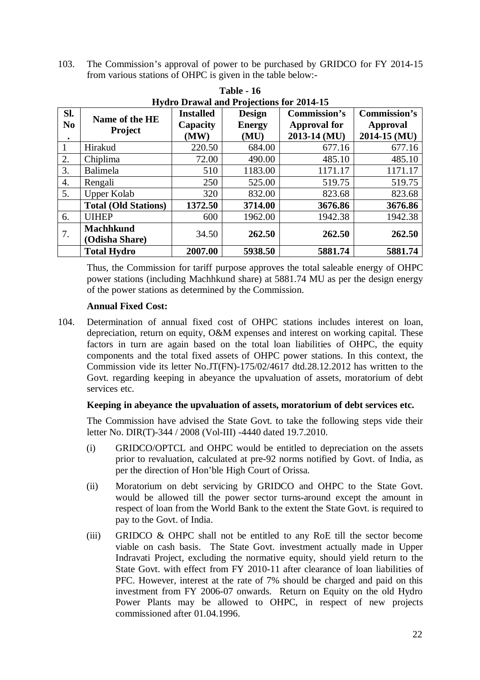103. The Commission's approval of power to be purchased by GRIDCO for FY 2014-15 from various stations of OHPC is given in the table below:-

|                            | <b>Hydro Drawal and Projections for 2014-15</b> |                                      |                                        |                                                            |                                          |  |  |  |  |
|----------------------------|-------------------------------------------------|--------------------------------------|----------------------------------------|------------------------------------------------------------|------------------------------------------|--|--|--|--|
| Sl.<br>N <sub>0</sub><br>٠ | Name of the HE<br><b>Project</b>                | <b>Installed</b><br>Capacity<br>(MW) | <b>Design</b><br><b>Energy</b><br>(MU) | <b>Commission's</b><br><b>Approval for</b><br>2013-14 (MU) | Commission's<br>Approval<br>2014-15 (MU) |  |  |  |  |
|                            | Hirakud                                         | 220.50                               | 684.00                                 | 677.16                                                     | 677.16                                   |  |  |  |  |
| 2.                         | Chiplima                                        | 72.00                                | 490.00                                 | 485.10                                                     | 485.10                                   |  |  |  |  |
| 3.                         | <b>Balimela</b>                                 | 510                                  | 1183.00                                | 1171.17                                                    | 1171.17                                  |  |  |  |  |
| 4.                         | Rengali                                         | 250                                  | 525.00                                 | 519.75                                                     | 519.75                                   |  |  |  |  |
| 5.                         | <b>Upper Kolab</b>                              | 320                                  | 832.00                                 | 823.68                                                     | 823.68                                   |  |  |  |  |
|                            | <b>Total (Old Stations)</b>                     | 1372.50                              | 3714.00                                | 3676.86                                                    | 3676.86                                  |  |  |  |  |
| 6.                         | <b>UIHEP</b>                                    | 600                                  | 1962.00                                | 1942.38                                                    | 1942.38                                  |  |  |  |  |
| 7.                         | <b>Machhkund</b><br>(Odisha Share)              | 34.50                                | 262.50                                 | 262.50                                                     | 262.50                                   |  |  |  |  |
|                            | <b>Total Hydro</b>                              | 2007.00                              | 5938.50                                | 5881.74                                                    | 5881.74                                  |  |  |  |  |

**Table - 16**

Thus, the Commission for tariff purpose approves the total saleable energy of OHPC power stations (including Machhkund share) at 5881.74 MU as per the design energy of the power stations as determined by the Commission.

#### **Annual Fixed Cost:**

104. Determination of annual fixed cost of OHPC stations includes interest on loan, depreciation, return on equity, O&M expenses and interest on working capital. These factors in turn are again based on the total loan liabilities of OHPC, the equity components and the total fixed assets of OHPC power stations. In this context, the Commission vide its letter No.JT(FN)-175/02/4617 dtd.28.12.2012 has written to the Govt. regarding keeping in abeyance the upvaluation of assets, moratorium of debt services etc.

#### **Keeping in abeyance the upvaluation of assets, moratorium of debt services etc.**

The Commission have advised the State Govt. to take the following steps vide their letter No. DIR(T)-344 / 2008 (Vol-III) -4440 dated 19.7.2010.

- (i) GRIDCO/OPTCL and OHPC would be entitled to depreciation on the assets prior to revaluation, calculated at pre-92 norms notified by Govt. of India, as per the direction of Hon'ble High Court of Orissa.
- (ii) Moratorium on debt servicing by GRIDCO and OHPC to the State Govt. would be allowed till the power sector turns-around except the amount in respect of loan from the World Bank to the extent the State Govt. is required to pay to the Govt. of India.
- (iii) GRIDCO & OHPC shall not be entitled to any RoE till the sector become viable on cash basis. The State Govt. investment actually made in Upper Indravati Project, excluding the normative equity, should yield return to the State Govt. with effect from FY 2010-11 after clearance of loan liabilities of PFC. However, interest at the rate of 7% should be charged and paid on this investment from FY 2006-07 onwards. Return on Equity on the old Hydro Power Plants may be allowed to OHPC, in respect of new projects commissioned after 01.04.1996.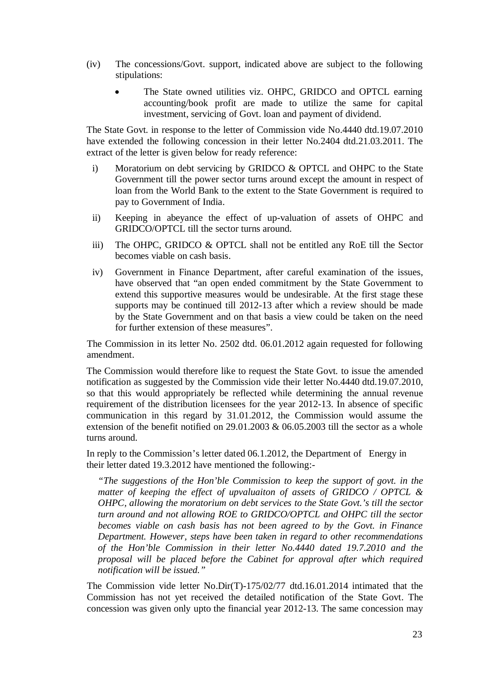- (iv) The concessions/Govt. support, indicated above are subject to the following stipulations:
	- The State owned utilities viz. OHPC, GRIDCO and OPTCL earning accounting/book profit are made to utilize the same for capital investment, servicing of Govt. loan and payment of dividend.

The State Govt. in response to the letter of Commission vide No.4440 dtd.19.07.2010 have extended the following concession in their letter No.2404 dtd.21.03.2011. The extract of the letter is given below for ready reference:

- i) Moratorium on debt servicing by GRIDCO & OPTCL and OHPC to the State Government till the power sector turns around except the amount in respect of loan from the World Bank to the extent to the State Government is required to pay to Government of India.
- ii) Keeping in abeyance the effect of up-valuation of assets of OHPC and GRIDCO/OPTCL till the sector turns around.
- iii) The OHPC, GRIDCO & OPTCL shall not be entitled any RoE till the Sector becomes viable on cash basis.
- iv) Government in Finance Department, after careful examination of the issues, have observed that "an open ended commitment by the State Government to extend this supportive measures would be undesirable. At the first stage these supports may be continued till 2012-13 after which a review should be made by the State Government and on that basis a view could be taken on the need for further extension of these measures".

The Commission in its letter No. 2502 dtd. 06.01.2012 again requested for following amendment.

The Commission would therefore like to request the State Govt. to issue the amended notification as suggested by the Commission vide their letter No.4440 dtd.19.07.2010, so that this would appropriately be reflected while determining the annual revenue requirement of the distribution licensees for the year 2012-13. In absence of specific communication in this regard by 31.01.2012, the Commission would assume the extension of the benefit notified on 29.01.2003  $\&$  06.05.2003 till the sector as a whole turns around.

In reply to the Commission's letter dated 06.1.2012, the Department of Energy in their letter dated 19.3.2012 have mentioned the following:-

*"The suggestions of the Hon'ble Commission to keep the support of govt. in the matter of keeping the effect of upvaluaiton of assets of GRIDCO / OPTCL & OHPC, allowing the moratorium on debt services to the State Govt.'s till the sector turn around and not allowing ROE to GRIDCO/OPTCL and OHPC till the sector becomes viable on cash basis has not been agreed to by the Govt. in Finance Department. However, steps have been taken in regard to other recommendations of the Hon'ble Commission in their letter No.4440 dated 19.7.2010 and the proposal will be placed before the Cabinet for approval after which required notification will be issued."*

The Commission vide letter No.Dir(T)-175/02/77 dtd.16.01.2014 intimated that the Commission has not yet received the detailed notification of the State Govt. The concession was given only upto the financial year 2012-13. The same concession may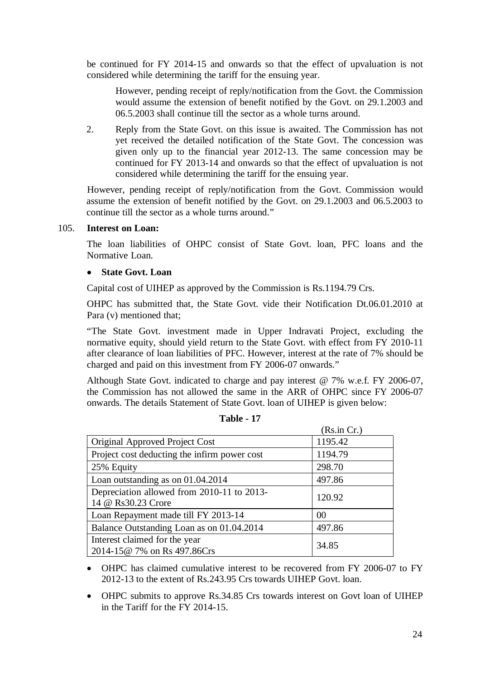be continued for FY 2014-15 and onwards so that the effect of upvaluation is not considered while determining the tariff for the ensuing year.

However, pending receipt of reply/notification from the Govt. the Commission would assume the extension of benefit notified by the Govt. on 29.1.2003 and 06.5.2003 shall continue till the sector as a whole turns around.

2. Reply from the State Govt. on this issue is awaited. The Commission has not yet received the detailed notification of the State Govt. The concession was given only up to the financial year 2012-13. The same concession may be continued for FY 2013-14 and onwards so that the effect of upvaluation is not considered while determining the tariff for the ensuing year.

However, pending receipt of reply/notification from the Govt. Commission would assume the extension of benefit notified by the Govt. on 29.1.2003 and 06.5.2003 to continue till the sector as a whole turns around."

#### 105. **Interest on Loan:**

The loan liabilities of OHPC consist of State Govt. loan, PFC loans and the Normative Loan.

#### **State Govt. Loan**

Capital cost of UIHEP as approved by the Commission is Rs.1194.79 Crs.

OHPC has submitted that, the State Govt. vide their Notification Dt.06.01.2010 at Para (v) mentioned that;

"The State Govt. investment made in Upper Indravati Project, excluding the normative equity, should yield return to the State Govt. with effect from FY 2010-11 after clearance of loan liabilities of PFC. However, interest at the rate of 7% should be charged and paid on this investment from FY 2006-07 onwards."

Although State Govt. indicated to charge and pay interest @ 7% w.e.f. FY 2006-07, the Commission has not allowed the same in the ARR of OHPC since FY 2006-07 onwards. The details Statement of State Govt. loan of UIHEP is given below:

|                                              | (Rs.in Cr.)    |
|----------------------------------------------|----------------|
| Original Approved Project Cost               | 1195.42        |
| Project cost deducting the infirm power cost | 1194.79        |
| 25% Equity                                   | 298.70         |
| Loan outstanding as on 01.04.2014            | 497.86         |
| Depreciation allowed from 2010-11 to 2013-   | 120.92         |
| 14 @ Rs30.23 Crore                           |                |
| Loan Repayment made till FY 2013-14          | 0 <sup>0</sup> |
| Balance Outstanding Loan as on 01.04.2014    | 497.86         |
| Interest claimed for the year                | 34.85          |
| 2014-15@ 7% on Rs 497.86Crs                  |                |

| l'able |  |
|--------|--|
|--------|--|

- OHPC has claimed cumulative interest to be recovered from FY 2006-07 to FY 2012-13 to the extent of Rs.243.95 Crs towards UIHEP Govt. loan.
- OHPC submits to approve Rs.34.85 Crs towards interest on Govt loan of UIHEP in the Tariff for the FY 2014-15.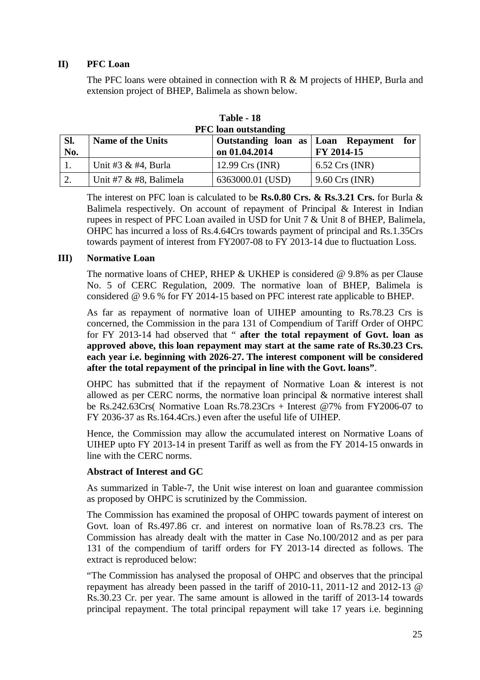## **II) PFC Loan**

The PFC loans were obtained in connection with R & M projects of HHEP, Burla and extension project of BHEP, Balimela as shown below.

|     | TTU TUAIL UULSTAIKIILE    |                   |                                        |  |  |  |  |  |  |
|-----|---------------------------|-------------------|----------------------------------------|--|--|--|--|--|--|
| SI. | <b>Name of the Units</b>  |                   | Outstanding loan as Loan Repayment for |  |  |  |  |  |  |
| No. |                           | on 01.04.2014     | FY 2014-15                             |  |  |  |  |  |  |
|     | Unit #3 $&$ #4, Burla     | 12.99 $Crs$ (INR) | $6.52 \, \text{Crs (INR)}$             |  |  |  |  |  |  |
| 2.  | Unit #7 $\&$ #8, Balimela | 6363000.01 (USD)  | $9.60 \text{ Crs (INR)}$               |  |  |  |  |  |  |

| Table - 18                  |
|-----------------------------|
| <b>PFC</b> loan outstanding |

The interest on PFC loan is calculated to be **Rs.0.80 Crs. & Rs.3.21 Crs.** for Burla & Balimela respectively. On account of repayment of Principal & Interest in Indian rupees in respect of PFC Loan availed in USD for Unit 7 & Unit 8 of BHEP, Balimela, OHPC has incurred a loss of Rs.4.64Crs towards payment of principal and Rs.1.35Crs towards payment of interest from FY2007-08 to FY 2013-14 due to fluctuation Loss.

#### **III) Normative Loan**

The normative loans of CHEP, RHEP & UKHEP is considered  $\omega$  9.8% as per Clause No. 5 of CERC Regulation, 2009. The normative loan of BHEP, Balimela is considered @ 9.6 % for FY 2014-15 based on PFC interest rate applicable to BHEP.

As far as repayment of normative loan of UIHEP amounting to Rs.78.23 Crs is concerned, the Commission in the para 131 of Compendium of Tariff Order of OHPC for FY 2013-14 had observed that " **after the total repayment of Govt. loan as approved above, this loan repayment may start at the same rate of Rs.30.23 Crs. each year i.e. beginning with 2026-27. The interest component will be considered after the total repayment of the principal in line with the Govt. loans"**.

OHPC has submitted that if the repayment of Normative Loan & interest is not allowed as per CERC norms, the normative loan principal & normative interest shall be Rs.242.63Crs( Normative Loan Rs.78.23Crs + Interest @7% from FY2006-07 to FY 2036-37 as Rs.164.4Crs.) even after the useful life of UIHEP.

Hence, the Commission may allow the accumulated interest on Normative Loans of UIHEP upto FY 2013-14 in present Tariff as well as from the FY 2014-15 onwards in line with the CERC norms.

#### **Abstract of Interest and GC**

As summarized in Table-7, the Unit wise interest on loan and guarantee commission as proposed by OHPC is scrutinized by the Commission.

The Commission has examined the proposal of OHPC towards payment of interest on Govt. loan of Rs.497.86 cr. and interest on normative loan of Rs.78.23 crs. The Commission has already dealt with the matter in Case No.100/2012 and as per para 131 of the compendium of tariff orders for FY 2013-14 directed as follows. The extract is reproduced below:

"The Commission has analysed the proposal of OHPC and observes that the principal repayment has already been passed in the tariff of 2010-11, 2011-12 and 2012-13 @ Rs.30.23 Cr. per year. The same amount is allowed in the tariff of 2013-14 towards principal repayment. The total principal repayment will take 17 years i.e. beginning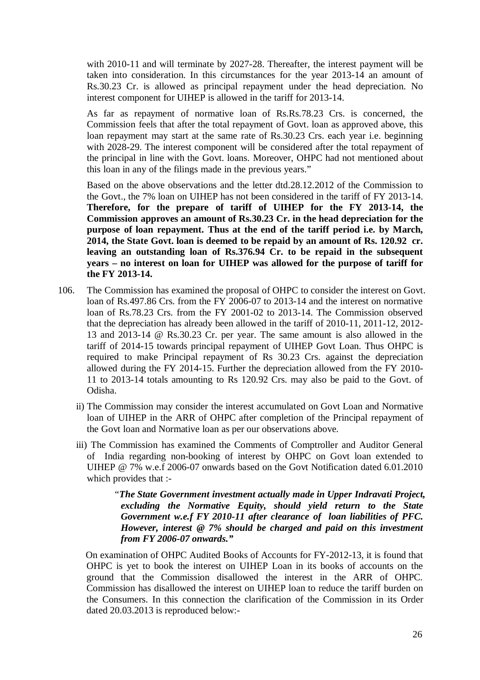with 2010-11 and will terminate by 2027-28. Thereafter, the interest payment will be taken into consideration. In this circumstances for the year 2013-14 an amount of Rs.30.23 Cr. is allowed as principal repayment under the head depreciation. No interest component for UIHEP is allowed in the tariff for 2013-14.

As far as repayment of normative loan of Rs.Rs.78.23 Crs. is concerned, the Commission feels that after the total repayment of Govt. loan as approved above, this loan repayment may start at the same rate of Rs.30.23 Crs. each year i.e. beginning with 2028-29. The interest component will be considered after the total repayment of the principal in line with the Govt. loans. Moreover, OHPC had not mentioned about this loan in any of the filings made in the previous years."

Based on the above observations and the letter dtd.28.12.2012 of the Commission to the Govt., the 7% loan on UIHEP has not been considered in the tariff of FY 2013-14. **Therefore, for the prepare of tariff of UIHEP for the FY 2013-14, the Commission approves an amount of Rs.30.23 Cr. in the head depreciation for the purpose of loan repayment. Thus at the end of the tariff period i.e. by March, 2014, the State Govt. loan is deemed to be repaid by an amount of Rs. 120.92 cr. leaving an outstanding loan of Rs.376.94 Cr. to be repaid in the subsequent years – no interest on loan for UIHEP was allowed for the purpose of tariff for the FY 2013-14.**

- 106. The Commission has examined the proposal of OHPC to consider the interest on Govt. loan of Rs.497.86 Crs. from the FY 2006-07 to 2013-14 and the interest on normative loan of Rs.78.23 Crs. from the FY 2001-02 to 2013-14. The Commission observed that the depreciation has already been allowed in the tariff of 2010-11, 2011-12, 2012- 13 and 2013-14 @ Rs.30.23 Cr. per year. The same amount is also allowed in the tariff of 2014-15 towards principal repayment of UIHEP Govt Loan. Thus OHPC is required to make Principal repayment of Rs 30.23 Crs. against the depreciation allowed during the FY 2014-15. Further the depreciation allowed from the FY 2010- 11 to 2013-14 totals amounting to Rs 120.92 Crs. may also be paid to the Govt. of Odisha.
	- ii) The Commission may consider the interest accumulated on Govt Loan and Normative loan of UIHEP in the ARR of OHPC after completion of the Principal repayment of the Govt loan and Normative loan as per our observations above.
	- iii) The Commission has examined the Comments of Comptroller and Auditor General of India regarding non-booking of interest by OHPC on Govt loan extended to UIHEP @ 7% w.e.f 2006-07 onwards based on the Govt Notification dated 6.01.2010 which provides that :-

"*The State Government investment actually made in Upper Indravati Project, excluding the Normative Equity, should yield return to the State Government w.e.f FY 2010-11 after clearance of loan liabilities of PFC. However, interest @ 7% should be charged and paid on this investment from FY 2006-07 onwards."*

On examination of OHPC Audited Books of Accounts for FY-2012-13, it is found that OHPC is yet to book the interest on UIHEP Loan in its books of accounts on the ground that the Commission disallowed the interest in the ARR of OHPC. Commission has disallowed the interest on UIHEP loan to reduce the tariff burden on the Consumers. In this connection the clarification of the Commission in its Order dated 20.03.2013 is reproduced below:-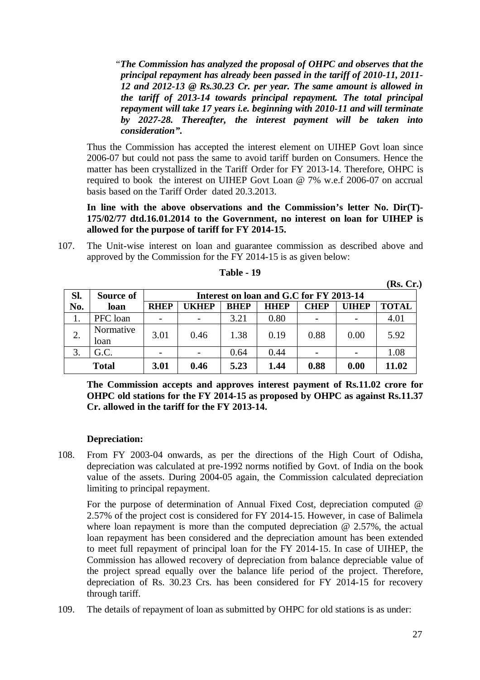"*The Commission has analyzed the proposal of OHPC and observes that the principal repayment has already been passed in the tariff of 2010-11, 2011- 12 and 2012-13 @ Rs.30.23 Cr. per year. The same amount is allowed in the tariff of 2013-14 towards principal repayment. The total principal repayment will take 17 years i.e. beginning with 2010-11 and will terminate by 2027-28. Thereafter, the interest payment will be taken into consideration".*

Thus the Commission has accepted the interest element on UIHEP Govt loan since 2006-07 but could not pass the same to avoid tariff burden on Consumers. Hence the matter has been crystallized in the Tariff Order for FY 2013-14. Therefore, OHPC is required to book the interest on UIHEP Govt Loan @ 7% w.e.f 2006-07 on accrual basis based on the Tariff Order dated 20.3.2013.

#### **In line with the above observations and the Commission's letter No. Dir(T)- 175/02/77 dtd.16.01.2014 to the Government, no interest on loan for UIHEP is allowed for the purpose of tariff for FY 2014-15.**

107. The Unit-wise interest on loan and guarantee commission as described above and approved by the Commission for the FY 2014-15 is as given below:

| SI. | Source of         |             | $- - - - - -$<br>Interest on loan and G.C for FY 2013-14 |             |             |             |              |              |  |
|-----|-------------------|-------------|----------------------------------------------------------|-------------|-------------|-------------|--------------|--------------|--|
| No. | loan              | <b>RHEP</b> | UKHEP                                                    | <b>BHEP</b> | <b>HHEP</b> | <b>CHEP</b> | <b>UIHEP</b> | <b>TOTAL</b> |  |
|     | PFC loan          |             |                                                          | 3.21        | 0.80        |             |              | 4.01         |  |
| 2.  | Normative<br>loan | 3.01        | 0.46                                                     | 1.38        | 0.19        | 0.88        | 0.00         | 5.92         |  |
|     | G.C.              |             |                                                          | 0.64        | 0.44        |             |              | 1.08         |  |
|     | <b>Total</b>      | 3.01        | 0.46                                                     | 5.23        | 1.44        | 0.88        | 0.00         | 11.02        |  |

#### **Table - 19**

**The Commission accepts and approves interest payment of Rs.11.02 crore for OHPC old stations for the FY 2014-15 as proposed by OHPC as against Rs.11.37 Cr. allowed in the tariff for the FY 2013-14.**

## **Depreciation:**

108. From FY 2003-04 onwards, as per the directions of the High Court of Odisha, depreciation was calculated at pre-1992 norms notified by Govt. of India on the book value of the assets. During 2004-05 again, the Commission calculated depreciation limiting to principal repayment.

For the purpose of determination of Annual Fixed Cost, depreciation computed @ 2.57% of the project cost is considered for FY 2014-15. However, in case of Balimela where loan repayment is more than the computed depreciation @ 2.57%, the actual loan repayment has been considered and the depreciation amount has been extended to meet full repayment of principal loan for the FY 2014-15. In case of UIHEP, the Commission has allowed recovery of depreciation from balance depreciable value of the project spread equally over the balance life period of the project. Therefore, depreciation of Rs. 30.23 Crs. has been considered for FY 2014-15 for recovery through tariff.

109. The details of repayment of loan as submitted by OHPC for old stations is as under:

**(Rs. Cr.)**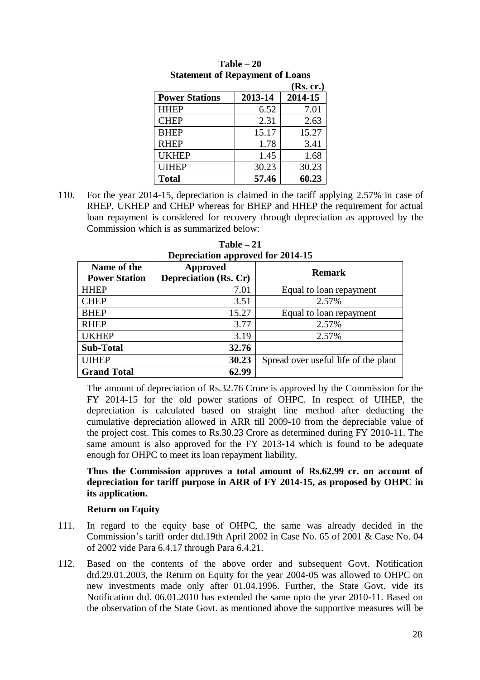|                       |         | (KS. Cr.) |
|-----------------------|---------|-----------|
| <b>Power Stations</b> | 2013-14 | 2014-15   |
| <b>HHEP</b>           | 6.52    | 7.01      |
| <b>CHEP</b>           | 2.31    | 2.63      |
| <b>BHEP</b>           | 15.17   | 15.27     |
| <b>RHEP</b>           | 1.78    | 3.41      |
| <b>UKHEP</b>          | 1.45    | 1.68      |
| <b>UIHEP</b>          | 30.23   | 30.23     |
| <b>Total</b>          | 57.46   | 60.23     |

| $Table - 20$                           |
|----------------------------------------|
| <b>Statement of Repayment of Loans</b> |
| $(\mathbf{D} -$                        |

110. For the year 2014-15, depreciation is claimed in the tariff applying 2.57% in case of RHEP, UKHEP and CHEP whereas for BHEP and HHEP the requirement for actual loan repayment is considered for recovery through depreciation as approved by the Commission which is as summarized below:

| Name of the          | $\frac{1}{2}$<br><b>Approved</b> | <b>Remark</b>                        |
|----------------------|----------------------------------|--------------------------------------|
| <b>Power Station</b> | <b>Depreciation (Rs. Cr)</b>     |                                      |
| <b>HHEP</b>          | 7.01                             | Equal to loan repayment              |
| <b>CHEP</b>          | 3.51                             | 2.57%                                |
| <b>BHEP</b>          | 15.27                            | Equal to loan repayment              |
| <b>RHEP</b>          | 3.77                             | 2.57%                                |
| <b>UKHEP</b>         | 3.19                             | 2.57%                                |
| <b>Sub-Total</b>     | 32.76                            |                                      |
| <b>UIHEP</b>         | 30.23                            | Spread over useful life of the plant |
| <b>Grand Total</b>   | 62.99                            |                                      |

**Table – 21 Depreciation approved for 2014-15**

The amount of depreciation of Rs.32.76 Crore is approved by the Commission for the FY 2014-15 for the old power stations of OHPC. In respect of UIHEP, the depreciation is calculated based on straight line method after deducting the cumulative depreciation allowed in ARR till 2009-10 from the depreciable value of the project cost. This comes to Rs.30.23 Crore as determined during FY 2010-11. The same amount is also approved for the FY 2013-14 which is found to be adequate enough for OHPC to meet its loan repayment liability.

**Thus the Commission approves a total amount of Rs.62.99 cr. on account of depreciation for tariff purpose in ARR of FY 2014-15, as proposed by OHPC in its application.**

#### **Return on Equity**

- 111. In regard to the equity base of OHPC, the same was already decided in the Commission's tariff order dtd.19th April 2002 in Case No. 65 of 2001 & Case No. 04 of 2002 vide Para 6.4.17 through Para 6.4.21.
- 112. Based on the contents of the above order and subsequent Govt. Notification dtd.29.01.2003, the Return on Equity for the year 2004-05 was allowed to OHPC on new investments made only after 01.04.1996. Further, the State Govt. vide its Notification dtd. 06.01.2010 has extended the same upto the year 2010-11. Based on the observation of the State Govt. as mentioned above the supportive measures will be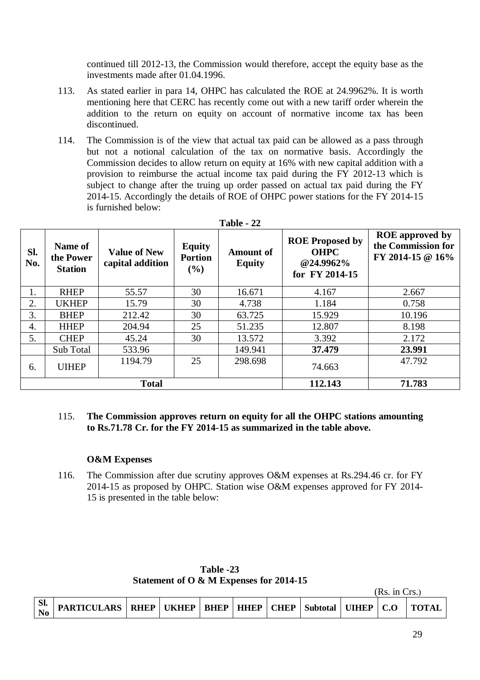continued till 2012-13, the Commission would therefore, accept the equity base as the investments made after 01.04.1996.

- 113. As stated earlier in para 14, OHPC has calculated the ROE at 24.9962%. It is worth mentioning here that CERC has recently come out with a new tariff order wherein the addition to the return on equity on account of normative income tax has been discontinued.
- 114. The Commission is of the view that actual tax paid can be allowed as a pass through but not a notional calculation of the tax on normative basis. Accordingly the Commission decides to allow return on equity at 16% with new capital addition with a provision to reimburse the actual income tax paid during the FY 2012-13 which is subject to change after the truing up order passed on actual tax paid during the FY 2014-15. Accordingly the details of ROE of OHPC power stations for the FY 2014-15 is furnished below:

| SI.<br>No. | Name of<br>the Power<br><b>Station</b> | <b>Value of New</b><br>capital addition | <b>Equity</b><br><b>Portion</b><br>$(\%)$ | <b>Amount</b> of<br><b>Equity</b> | <b>ROE Proposed by</b><br><b>OHPC</b><br>@24.9962%<br>for FY 2014-15 | <b>ROE</b> approved by<br>the Commission for<br>FY 2014-15 @ 16% |
|------------|----------------------------------------|-----------------------------------------|-------------------------------------------|-----------------------------------|----------------------------------------------------------------------|------------------------------------------------------------------|
| 1.         | <b>RHEP</b>                            | 55.57                                   | 30                                        | 16.671                            | 4.167                                                                | 2.667                                                            |
| 2.         | <b>UKHEP</b>                           | 15.79                                   | 30                                        | 4.738                             | 1.184                                                                | 0.758                                                            |
| 3.         | <b>BHEP</b>                            | 212.42                                  | 30                                        | 63.725                            | 15.929                                                               | 10.196                                                           |
| 4.         | <b>HHEP</b>                            | 204.94                                  | 25                                        | 51.235                            | 12.807                                                               | 8.198                                                            |
| 5.         | <b>CHEP</b>                            | 45.24                                   | 30                                        | 13.572                            | 3.392                                                                | 2.172                                                            |
|            | Sub Total                              | 533.96                                  |                                           | 149.941                           | 37.479                                                               | 23.991                                                           |
| 6.         | <b>UIHEP</b>                           | 1194.79                                 | 25                                        | 298.698                           | 74.663                                                               | 47.792                                                           |
|            |                                        | <b>Total</b>                            |                                           |                                   | 112.143                                                              | 71.783                                                           |

**Table - 22**

#### 115. **The Commission approves return on equity for all the OHPC stations amounting to Rs.71.78 Cr. for the FY 2014-15 as summarized in the table above.**

#### **O&M Expenses**

116. The Commission after due scrutiny approves O&M expenses at Rs.294.46 cr. for FY 2014-15 as proposed by OHPC. Station wise O&M expenses approved for FY 2014- 15 is presented in the table below:

| $\Omega$<br>ĐĿ,<br>N <sub>0</sub> | <b>ARTICULARS</b> | <b>RHEP</b> | <b>UKHEP</b> | <b>BHEP</b> | <b>HHEP</b> | <b>CHEP</b> | Subtotal | <b>VIHEP</b> |  |
|-----------------------------------|-------------------|-------------|--------------|-------------|-------------|-------------|----------|--------------|--|

**Table -23 Statement of O & M Expenses for 2014-15**

 $(Rs$  in  $Crs$ )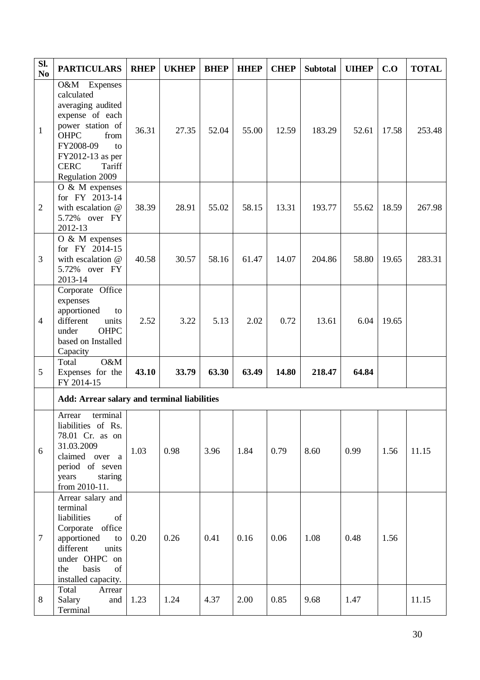| Sl.<br>N <sub>0</sub> | <b>PARTICULARS</b>                                                                                                                                                                                         | <b>RHEP</b> | <b>UKHEP</b> | <b>BHEP</b> | <b>HHEP</b> | <b>CHEP</b> | <b>Subtotal</b> | <b>UIHEP</b> | C.O   | <b>TOTAL</b> |
|-----------------------|------------------------------------------------------------------------------------------------------------------------------------------------------------------------------------------------------------|-------------|--------------|-------------|-------------|-------------|-----------------|--------------|-------|--------------|
| $\mathbf{1}$          | O&M Expenses<br>calculated<br>averaging audited<br>expense of each<br>power station of<br><b>OHPC</b><br>from<br>FY2008-09<br>$\mathbf{t}$<br>FY2012-13 as per<br>Tariff<br><b>CERC</b><br>Regulation 2009 | 36.31       | 27.35        | 52.04       | 55.00       | 12.59       | 183.29          | 52.61        | 17.58 | 253.48       |
| $\overline{2}$        | O & M expenses<br>for FY 2013-14<br>with escalation @<br>5.72% over FY<br>2012-13                                                                                                                          | 38.39       | 28.91        | 55.02       | 58.15       | 13.31       | 193.77          | 55.62        | 18.59 | 267.98       |
| $\overline{3}$        | O & M expenses<br>for FY 2014-15<br>with escalation @<br>5.72% over FY<br>2013-14                                                                                                                          | 40.58       | 30.57        | 58.16       | 61.47       | 14.07       | 204.86          | 58.80        | 19.65 | 283.31       |
| $\overline{4}$        | Corporate Office<br>expenses<br>apportioned<br>to<br>different<br>units<br>under<br><b>OHPC</b><br>based on Installed<br>Capacity                                                                          | 2.52        | 3.22         | 5.13        | 2.02        | 0.72        | 13.61           | 6.04         | 19.65 |              |
| 5                     | O&M<br>Total<br>Expenses for the<br>FY 2014-15                                                                                                                                                             | 43.10       | 33.79        | 63.30       | 63.49       | 14.80       | 218.47          | 64.84        |       |              |
|                       | Add: Arrear salary and terminal liabilities                                                                                                                                                                |             |              |             |             |             |                 |              |       |              |
| 6                     | terminal<br>Arrear<br>liabilities of Rs.<br>78.01 Cr. as on<br>31.03.2009<br>claimed over a<br>period of seven<br>years<br>staring<br>from 2010-11.                                                        | 1.03        | 0.98         | 3.96        | 1.84        | 0.79        | 8.60            | 0.99         | 1.56  | 11.15        |
| $\overline{7}$        | Arrear salary and<br>terminal<br>liabilities<br>of<br>Corporate<br>office<br>apportioned<br>to<br>different<br>units<br>under OHPC<br>on<br>basis<br>of<br>the<br>installed capacity.                      | 0.20        | 0.26         | 0.41        | 0.16        | 0.06        | 1.08            | 0.48         | 1.56  |              |
| 8                     | Total<br>Arrear<br>Salary<br>and<br>Terminal                                                                                                                                                               | 1.23        | 1.24         | 4.37        | 2.00        | 0.85        | 9.68            | 1.47         |       | 11.15        |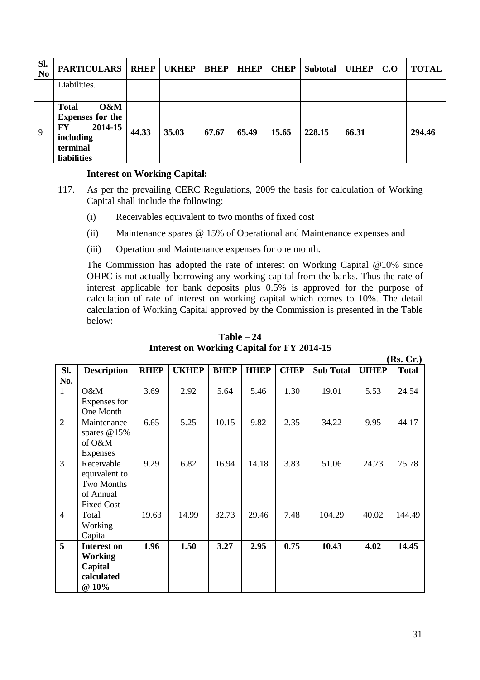| Sl.<br>N <sub>0</sub> | <b>PARTICULARS</b>                                                                                             | <b>RHEP</b> | <b>UKHEP</b> | <b>BHEP</b> | <b>HHEP</b> | <b>CHEP</b> | <b>Subtotal</b> | <b>UIHEP</b> | C.O | <b>TOTAL</b> |
|-----------------------|----------------------------------------------------------------------------------------------------------------|-------------|--------------|-------------|-------------|-------------|-----------------|--------------|-----|--------------|
|                       | Liabilities.                                                                                                   |             |              |             |             |             |                 |              |     |              |
| 9                     | 0&M<br><b>Total</b><br><b>Expenses for the</b><br>2014-15<br>FY<br>including<br>terminal<br><b>liabilities</b> | 44.33       | 35.03        | 67.67       | 65.49       | 15.65       | 228.15          | 66.31        |     | 294.46       |

#### **Interest on Working Capital:**

- 117. As per the prevailing CERC Regulations, 2009 the basis for calculation of Working Capital shall include the following:
	- (i) Receivables equivalent to two months of fixed cost
	- (ii) Maintenance spares @ 15% of Operational and Maintenance expenses and
	- (iii) Operation and Maintenance expenses for one month.

The Commission has adopted the rate of interest on Working Capital @10% since OHPC is not actually borrowing any working capital from the banks. Thus the rate of interest applicable for bank deposits plus 0.5% is approved for the purpose of calculation of rate of interest on working capital which comes to 10%. The detail calculation of Working Capital approved by the Commission is presented in the Table below:

| Sl.            | <b>Description</b> | <b>RHEP</b> | <b>UKHEP</b> | <b>BHEP</b> | <b>HHEP</b> | <b>CHEP</b> | <b>Sub Total</b> | <b>UIHEP</b> | <b>Total</b> |
|----------------|--------------------|-------------|--------------|-------------|-------------|-------------|------------------|--------------|--------------|
| No.            |                    |             |              |             |             |             |                  |              |              |
| 1              | O&M                | 3.69        | 2.92         | 5.64        | 5.46        | 1.30        | 19.01            | 5.53         | 24.54        |
|                | Expenses for       |             |              |             |             |             |                  |              |              |
|                | One Month          |             |              |             |             |             |                  |              |              |
| $\overline{2}$ | Maintenance        | 6.65        | 5.25         | 10.15       | 9.82        | 2.35        | 34.22            | 9.95         | 44.17        |
|                | spares @15%        |             |              |             |             |             |                  |              |              |
|                | of O&M             |             |              |             |             |             |                  |              |              |
|                | <b>Expenses</b>    |             |              |             |             |             |                  |              |              |
| 3              | Receivable         | 9.29        | 6.82         | 16.94       | 14.18       | 3.83        | 51.06            | 24.73        | 75.78        |
|                | equivalent to      |             |              |             |             |             |                  |              |              |
|                | Two Months         |             |              |             |             |             |                  |              |              |
|                | of Annual          |             |              |             |             |             |                  |              |              |
|                | <b>Fixed Cost</b>  |             |              |             |             |             |                  |              |              |
| $\overline{4}$ | Total              | 19.63       | 14.99        | 32.73       | 29.46       | 7.48        | 104.29           | 40.02        | 144.49       |
|                | Working            |             |              |             |             |             |                  |              |              |
|                | Capital            |             |              |             |             |             |                  |              |              |
| 5              | <b>Interest on</b> | 1.96        | 1.50         | 3.27        | 2.95        | 0.75        | 10.43            | 4.02         | 14.45        |
|                | Working            |             |              |             |             |             |                  |              |              |
|                | Capital            |             |              |             |             |             |                  |              |              |
|                | calculated         |             |              |             |             |             |                  |              |              |
|                | @ 10%              |             |              |             |             |             |                  |              |              |

**Table – 24 Interest on Working Capital for FY 2014-15**

**(Rs. Cr.)**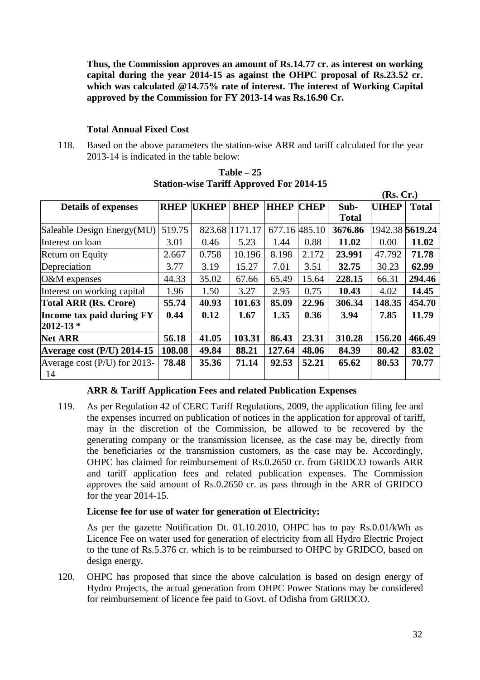**Thus, the Commission approves an amount of Rs.14.77 cr. as interest on working capital during the year 2014-15 as against the OHPC proposal of Rs.23.52 cr. which was calculated @14.75% rate of interest. The interest of Working Capital approved by the Commission for FY 2013-14 was Rs.16.90 Cr.**

#### **Total Annual Fixed Cost**

118. Based on the above parameters the station-wise ARR and tariff calculated for the year 2013-14 is indicated in the table below:

| <b>Details of expenses</b>   | <b>RHEP</b> | <b>UKHEP</b> | <b>BHEP</b> | <b>HHEP</b> | <b>CHEP</b> | Sub-         | <b>UIHEP</b>    | <b>Total</b> |
|------------------------------|-------------|--------------|-------------|-------------|-------------|--------------|-----------------|--------------|
|                              |             |              |             |             |             | <b>Total</b> |                 |              |
| Saleable Design Energy(MU)   | 519.75      | 823.68       | 1171.17     | 677.16      | 485.10      | 3676.86      | 1942.38 5619.24 |              |
| Interest on loan             | 3.01        | 0.46         | 5.23        | 1.44        | 0.88        | 11.02        | 0.00            | 11.02        |
| Return on Equity             | 2.667       | 0.758        | 10.196      | 8.198       | 2.172       | 23.991       | 47.792          | 71.78        |
| Depreciation                 | 3.77        | 3.19         | 15.27       | 7.01        | 3.51        | 32.75        | 30.23           | 62.99        |
| $O&M$ expenses               | 44.33       | 35.02        | 67.66       | 65.49       | 15.64       | 228.15       | 66.31           | 294.46       |
| Interest on working capital  | 1.96        | 1.50         | 3.27        | 2.95        | 0.75        | 10.43        | 4.02            | 14.45        |
| <b>Total ARR (Rs. Crore)</b> | 55.74       | 40.93        | 101.63      | 85.09       | 22.96       | 306.34       | 148.35          | 454.70       |
| Income tax paid during FY    | 0.44        | 0.12         | 1.67        | 1.35        | 0.36        | 3.94         | 7.85            | 11.79        |
| $ 2012 - 13*$                |             |              |             |             |             |              |                 |              |
| <b>Net ARR</b>               | 56.18       | 41.05        | 103.31      | 86.43       | 23.31       | 310.28       | 156.20          | 466.49       |
| Average cost $(P/U)$ 2014-15 | 108.08      | 49.84        | 88.21       | 127.64      | 48.06       | 84.39        | 80.42           | 83.02        |
| Average cost (P/U) for 2013- | 78.48       | 35.36        | 71.14       | 92.53       | 52.21       | 65.62        | 80.53           | 70.77        |
| 14                           |             |              |             |             |             |              |                 |              |

**Table – 25 Station-wise Tariff Approved For 2014-15**

## **ARR & Tariff Application Fees and related Publication Expenses**

119. As per Regulation 42 of CERC Tariff Regulations, 2009, the application filing fee and the expenses incurred on publication of notices in the application for approval of tariff, may in the discretion of the Commission, be allowed to be recovered by the generating company or the transmission licensee, as the case may be, directly from the beneficiaries or the transmission customers, as the case may be. Accordingly, OHPC has claimed for reimbursement of Rs.0.2650 cr. from GRIDCO towards ARR and tariff application fees and related publication expenses. The Commission approves the said amount of Rs.0.2650 cr. as pass through in the ARR of GRIDCO for the year 2014-15.

#### **License fee for use of water for generation of Electricity:**

As per the gazette Notification Dt. 01.10.2010, OHPC has to pay Rs.0.01/kWh as Licence Fee on water used for generation of electricity from all Hydro Electric Project to the tune of Rs.5.376 cr. which is to be reimbursed to OHPC by GRIDCO, based on design energy.

120. OHPC has proposed that since the above calculation is based on design energy of Hydro Projects, the actual generation from OHPC Power Stations may be considered for reimbursement of licence fee paid to Govt. of Odisha from GRIDCO.

**(Rs. Cr.)**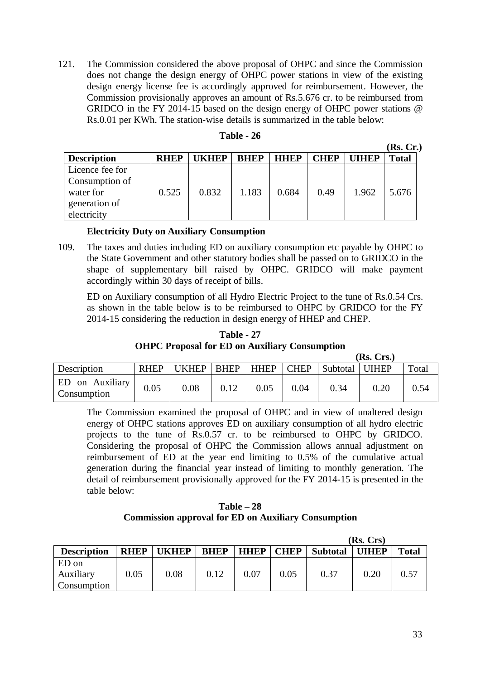121. The Commission considered the above proposal of OHPC and since the Commission does not change the design energy of OHPC power stations in view of the existing design energy license fee is accordingly approved for reimbursement. However, the Commission provisionally approves an amount of Rs.5.676 cr. to be reimbursed from GRIDCO in the FY 2014-15 based on the design energy of OHPC power stations @ Rs.0.01 per KWh. The station-wise details is summarized in the table below:

| Table<br>26 |
|-------------|
|-------------|

|                    |             |              |             |             |             |              | ( <b>Rs. Cr.</b> ) |
|--------------------|-------------|--------------|-------------|-------------|-------------|--------------|--------------------|
| <b>Description</b> | <b>RHEP</b> | <b>UKHEP</b> | <b>BHEP</b> | <b>HHEP</b> | <b>CHEP</b> | <b>ITHEP</b> | <b>Total</b>       |
| Licence fee for    |             |              |             |             |             |              |                    |
| Consumption of     |             |              |             |             |             |              |                    |
| water for          | 0.525       | 0.832        | 1.183       | 0.684       | 0.49        | 1.962        | 5.676              |
| generation of      |             |              |             |             |             |              |                    |
| electricity        |             |              |             |             |             |              |                    |

## **Electricity Duty on Auxiliary Consumption**

109. The taxes and duties including ED on auxiliary consumption etc payable by OHPC to the State Government and other statutory bodies shall be passed on to GRIDCO in the shape of supplementary bill raised by OHPC. GRIDCO will make payment accordingly within 30 days of receipt of bills.

ED on Auxiliary consumption of all Hydro Electric Project to the tune of Rs.0.54 Crs. as shown in the table below is to be reimbursed to OHPC by GRIDCO for the FY 2014-15 considering the reduction in design energy of HHEP and CHEP.

**Table - 27 OHPC Proposal for ED on Auxiliary Consumption**

| <b>Description</b>                           | <b>RHEP</b> | <b>UKHEP</b> | <b>BHEP</b> | <b>HHEP</b> | <b>CHEP</b> | Subtotal   UIHEP |      | Total |
|----------------------------------------------|-------------|--------------|-------------|-------------|-------------|------------------|------|-------|
| <b>ED</b> on Auxiliary<br><b>Consumption</b> | 0.05        | 0.08         | 0.12        | 0.05        | 0.04        | 0.34             | 0.20 | 0.54  |

The Commission examined the proposal of OHPC and in view of unaltered design energy of OHPC stations approves ED on auxiliary consumption of all hydro electric projects to the tune of Rs.0.57 cr. to be reimbursed to OHPC by GRIDCO. Considering the proposal of OHPC the Commission allows annual adjustment on reimbursement of ED at the year end limiting to 0.5% of the cumulative actual generation during the financial year instead of limiting to monthly generation. The detail of reimbursement provisionally approved for the FY 2014-15 is presented in the table below:

#### **Table – 28 Commission approval for ED on Auxiliary Consumption**

|                    |             |              |             |             |             |                 | (Rs. Crs)    |              |
|--------------------|-------------|--------------|-------------|-------------|-------------|-----------------|--------------|--------------|
| <b>Description</b> | <b>RHEP</b> | <b>UKHEP</b> | <b>BHEP</b> | <b>HHEP</b> | <b>CHEP</b> | <b>Subtotal</b> | <b>UIHEP</b> | <b>Total</b> |
| ED on<br>Auxiliary | 0.05        | 0.08         | 0.12        | 0.07        | 0.05        | 0.37            | 0.20         | 0.57         |
| Consumption        |             |              |             |             |             |                 |              |              |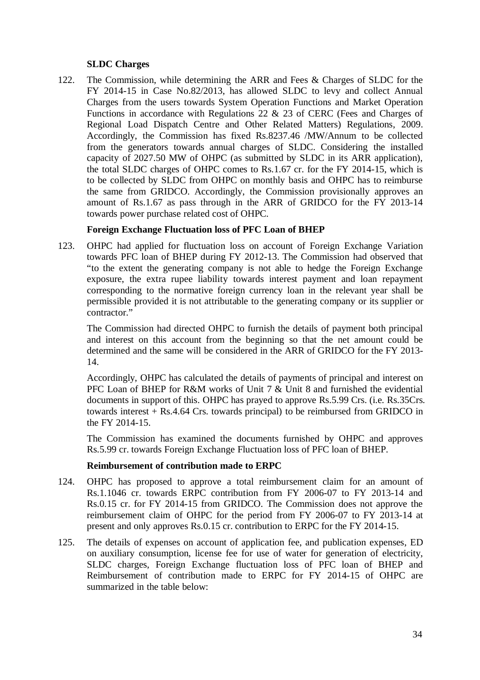#### **SLDC Charges**

122. The Commission, while determining the ARR and Fees & Charges of SLDC for the FY 2014-15 in Case No.82/2013, has allowed SLDC to levy and collect Annual Charges from the users towards System Operation Functions and Market Operation Functions in accordance with Regulations 22 & 23 of CERC (Fees and Charges of Regional Load Dispatch Centre and Other Related Matters) Regulations, 2009. Accordingly, the Commission has fixed Rs.8237.46 /MW/Annum to be collected from the generators towards annual charges of SLDC. Considering the installed capacity of 2027.50 MW of OHPC (as submitted by SLDC in its ARR application), the total SLDC charges of OHPC comes to Rs.1.67 cr. for the FY 2014-15, which is to be collected by SLDC from OHPC on monthly basis and OHPC has to reimburse the same from GRIDCO. Accordingly, the Commission provisionally approves an amount of Rs.1.67 as pass through in the ARR of GRIDCO for the FY 2013-14 towards power purchase related cost of OHPC.

#### **Foreign Exchange Fluctuation loss of PFC Loan of BHEP**

123. OHPC had applied for fluctuation loss on account of Foreign Exchange Variation towards PFC loan of BHEP during FY 2012-13. The Commission had observed that "to the extent the generating company is not able to hedge the Foreign Exchange exposure, the extra rupee liability towards interest payment and loan repayment corresponding to the normative foreign currency loan in the relevant year shall be permissible provided it is not attributable to the generating company or its supplier or contractor."

The Commission had directed OHPC to furnish the details of payment both principal and interest on this account from the beginning so that the net amount could be determined and the same will be considered in the ARR of GRIDCO for the FY 2013- 14.

Accordingly, OHPC has calculated the details of payments of principal and interest on PFC Loan of BHEP for R&M works of Unit 7 & Unit 8 and furnished the evidential documents in support of this. OHPC has prayed to approve Rs.5.99 Crs. (i.e. Rs.35Crs. towards interest  $+$  Rs.4.64 Crs. towards principal) to be reimbursed from GRIDCO in the FY 2014-15.

The Commission has examined the documents furnished by OHPC and approves Rs.5.99 cr. towards Foreign Exchange Fluctuation loss of PFC loan of BHEP.

#### **Reimbursement of contribution made to ERPC**

- 124. OHPC has proposed to approve a total reimbursement claim for an amount of Rs.1.1046 cr. towards ERPC contribution from FY 2006-07 to FY 2013-14 and Rs.0.15 cr. for FY 2014-15 from GRIDCO. The Commission does not approve the reimbursement claim of OHPC for the period from FY 2006-07 to FY 2013-14 at present and only approves Rs.0.15 cr. contribution to ERPC for the FY 2014-15.
- 125. The details of expenses on account of application fee, and publication expenses, ED on auxiliary consumption, license fee for use of water for generation of electricity, SLDC charges, Foreign Exchange fluctuation loss of PFC loan of BHEP and Reimbursement of contribution made to ERPC for FY 2014-15 of OHPC are summarized in the table below: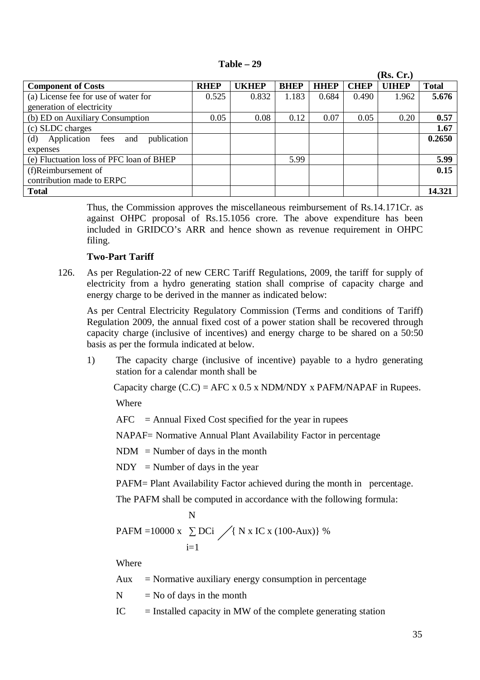#### **Table – 29**

|                                            |             |              |             |             |             | (Rs, Cr.)    |              |
|--------------------------------------------|-------------|--------------|-------------|-------------|-------------|--------------|--------------|
| <b>Component of Costs</b>                  | <b>RHEP</b> | <b>UKHEP</b> | <b>BHEP</b> | <b>HHEP</b> | <b>CHEP</b> | <b>UIHEP</b> | <b>Total</b> |
| (a) License fee for use of water for       | 0.525       | 0.832        | 1.183       | 0.684       | 0.490       | 1.962        | 5.676        |
| generation of electricity                  |             |              |             |             |             |              |              |
| (b) ED on Auxiliary Consumption            | 0.05        | 0.08         | 0.12        | 0.07        | 0.05        | 0.20         | 0.57         |
| (c) SLDC charges                           |             |              |             |             |             |              | 1.67         |
| Application fees and<br>publication<br>(d) |             |              |             |             |             |              | 0.2650       |
| expenses                                   |             |              |             |             |             |              |              |
| (e) Fluctuation loss of PFC loan of BHEP   |             |              | 5.99        |             |             |              | 5.99         |
| (f)Reimbursement of                        |             |              |             |             |             |              | 0.15         |
| contribution made to ERPC                  |             |              |             |             |             |              |              |
| <b>Total</b>                               |             |              |             |             |             |              | 14.321       |

Thus, the Commission approves the miscellaneous reimbursement of Rs.14.171Cr. as against OHPC proposal of Rs.15.1056 crore. The above expenditure has been included in GRIDCO's ARR and hence shown as revenue requirement in OHPC filing.

#### **Two-Part Tariff**

126. As per Regulation-22 of new CERC Tariff Regulations, 2009, the tariff for supply of electricity from a hydro generating station shall comprise of capacity charge and energy charge to be derived in the manner as indicated below:

As per Central Electricity Regulatory Commission (Terms and conditions of Tariff) Regulation 2009, the annual fixed cost of a power station shall be recovered through capacity charge (inclusive of incentives) and energy charge to be shared on a 50:50 basis as per the formula indicated at below.

1) The capacity charge (inclusive of incentive) payable to a hydro generating station for a calendar month shall be

Capacity charge  $(C.C) =$  AFC x 0.5 x NDM/NDY x PAFM/NAPAF in Rupees.

Where

 $AFC$  = Annual Fixed Cost specified for the year in rupees

NAPAF= Normative Annual Plant Availability Factor in percentage

 $NDM = Number of days in the month$ 

 $NDY = Number of days in the year$ 

PAFM= Plant Availability Factor achieved during the month in percentage.

The PAFM shall be computed in accordance with the following formula:

$$
\overline{N}
$$

$$
PAFM = 10000 \times \sum DCi \quad / \{ N x IC x (100-Aux) \} %
$$
  
i=1

Where

Aux  $=$  Normative auxiliary energy consumption in percentage

 $N = No$  of days in the month

 $IC =$  Installed capacity in MW of the complete generating station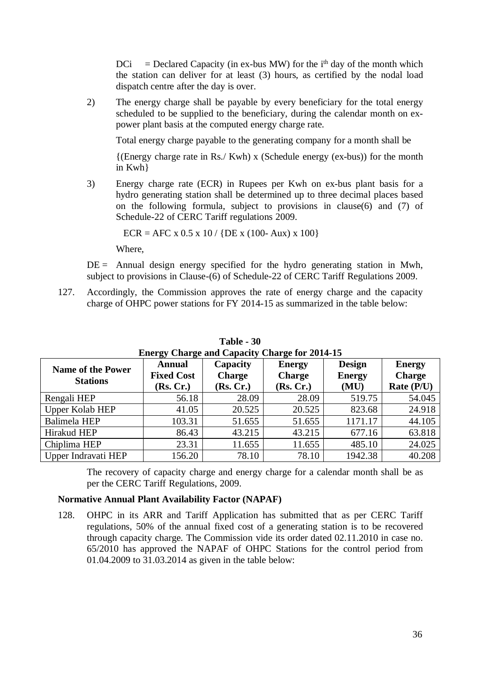$DCi = Ded Capacity (in ex-bus MW)$  for the i<sup>th</sup> day of the month which the station can deliver for at least (3) hours, as certified by the nodal load dispatch centre after the day is over.

2) The energy charge shall be payable by every beneficiary for the total energy scheduled to be supplied to the beneficiary, during the calendar month on expower plant basis at the computed energy charge rate.

Total energy charge payable to the generating company for a month shall be

{(Energy charge rate in Rs./ Kwh) x (Schedule energy (ex-bus)) for the month in Kwh}

3) Energy charge rate (ECR) in Rupees per Kwh on ex-bus plant basis for a hydro generating station shall be determined up to three decimal places based on the following formula, subject to provisions in clause(6) and (7) of Schedule-22 of CERC Tariff regulations 2009.

 $ECR = AFC \times 0.5 \times 10 / \{DE \times (100 - Aux) \times 100\}$ 

Where,

 $DE =$  Annual design energy specified for the hydro generating station in Mwh, subject to provisions in Clause-(6) of Schedule-22 of CERC Tariff Regulations 2009.

127. Accordingly, the Commission approves the rate of energy charge and the capacity charge of OHPC power stations for FY 2014-15 as summarized in the table below:

| <b>Name of the Power</b><br><b>Stations</b> | Annual<br><b>Fixed Cost</b><br>(Rs, Cr.) | Capacity<br><b>Charge</b><br>(Rs, Cr.) | <b>Energy</b><br><b>Charge</b><br>(Rs, Cr.) | <b>Design</b><br><b>Energy</b><br>(MU) | <b>Energy</b><br><b>Charge</b><br>Rate $(P/U)$ |
|---------------------------------------------|------------------------------------------|----------------------------------------|---------------------------------------------|----------------------------------------|------------------------------------------------|
| Rengali HEP                                 | 56.18                                    | 28.09                                  | 28.09                                       | 519.75                                 | 54.045                                         |
| <b>Upper Kolab HEP</b>                      | 41.05                                    | 20.525                                 | 20.525                                      | 823.68                                 | 24.918                                         |
| <b>Balimela HEP</b>                         | 103.31                                   | 51.655                                 | 51.655                                      | 1171.17                                | 44.105                                         |
| Hirakud HEP                                 | 86.43                                    | 43.215                                 | 43.215                                      | 677.16                                 | 63.818                                         |
| Chiplima HEP                                | 23.31                                    | 11.655                                 | 11.655                                      | 485.10                                 | 24.025                                         |
| Upper Indravati HEP                         | 156.20                                   | 78.10                                  | 78.10                                       | 1942.38                                | 40.208                                         |

**Table - 30 Energy Charge and Capacity Charge for 2014-15**

The recovery of capacity charge and energy charge for a calendar month shall be as per the CERC Tariff Regulations, 2009.

#### **Normative Annual Plant Availability Factor (NAPAF)**

128. OHPC in its ARR and Tariff Application has submitted that as per CERC Tariff regulations, 50% of the annual fixed cost of a generating station is to be recovered through capacity charge. The Commission vide its order dated 02.11.2010 in case no. 65/2010 has approved the NAPAF of OHPC Stations for the control period from 01.04.2009 to 31.03.2014 as given in the table below: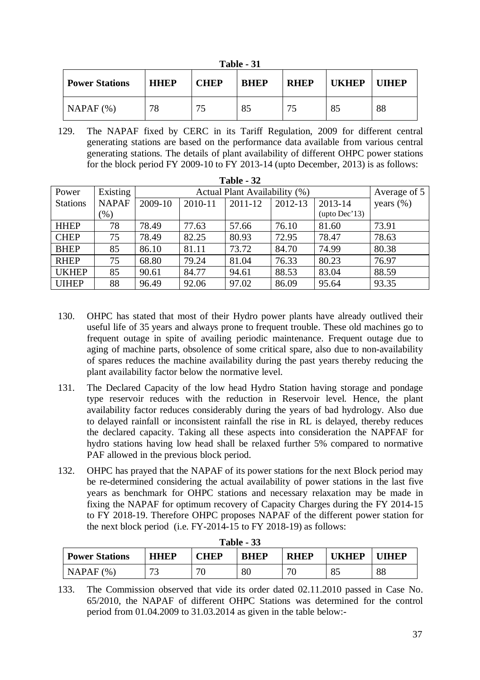| Table |  |
|-------|--|
|-------|--|

| <b>Power Stations</b> | <b>HHEP</b> | <b>CHEP</b> | <b>BHEP</b> | <b>RHEP</b> | <b>UKHEP</b> | <b>THEP</b> |
|-----------------------|-------------|-------------|-------------|-------------|--------------|-------------|
| NAPAF (%)             | 78          |             | 85          |             |              | 88          |

129. The NAPAF fixed by CERC in its Tariff Regulation, 2009 for different central generating stations are based on the performance data available from various central generating stations. The details of plant availability of different OHPC power stations for the block period FY 2009-10 to FY 2013-14 (upto December, 2013) is as follows:

|                 | Table - 32   |         |         |                               |         |                        |               |  |  |  |  |
|-----------------|--------------|---------|---------|-------------------------------|---------|------------------------|---------------|--|--|--|--|
| Power           | Existing     |         |         | Actual Plant Availability (%) |         |                        | Average of 5  |  |  |  |  |
| <b>Stations</b> | <b>NAPAF</b> | 2009-10 | 2010-11 | 2011-12                       | 2012-13 | 2013-14                | years $(\% )$ |  |  |  |  |
|                 | $(\%)$       |         |         |                               |         | $(\text{upto Dec}'13)$ |               |  |  |  |  |
| <b>HHEP</b>     | 78           | 78.49   | 77.63   | 57.66                         | 76.10   | 81.60                  | 73.91         |  |  |  |  |
| <b>CHEP</b>     | 75           | 78.49   | 82.25   | 80.93                         | 72.95   | 78.47                  | 78.63         |  |  |  |  |
| <b>BHEP</b>     | 85           | 86.10   | 81.11   | 73.72                         | 84.70   | 74.99                  | 80.38         |  |  |  |  |
| <b>RHEP</b>     | 75           | 68.80   | 79.24   | 81.04                         | 76.33   | 80.23                  | 76.97         |  |  |  |  |
| <b>UKHEP</b>    | 85           | 90.61   | 84.77   | 94.61                         | 88.53   | 83.04                  | 88.59         |  |  |  |  |
| <b>UIHEP</b>    | 88           | 96.49   | 92.06   | 97.02                         | 86.09   | 95.64                  | 93.35         |  |  |  |  |

- 130. OHPC has stated that most of their Hydro power plants have already outlived their useful life of 35 years and always prone to frequent trouble. These old machines go to frequent outage in spite of availing periodic maintenance. Frequent outage due to aging of machine parts, obsolence of some critical spare, also due to non-availability of spares reduces the machine availability during the past years thereby reducing the plant availability factor below the normative level.
- 131. The Declared Capacity of the low head Hydro Station having storage and pondage type reservoir reduces with the reduction in Reservoir level. Hence, the plant availability factor reduces considerably during the years of bad hydrology. Also due to delayed rainfall or inconsistent rainfall the rise in RL is delayed, thereby reduces the declared capacity. Taking all these aspects into consideration the NAPFAF for hydro stations having low head shall be relaxed further 5% compared to normative PAF allowed in the previous block period.
- 132. OHPC has prayed that the NAPAF of its power stations for the next Block period may be re-determined considering the actual availability of power stations in the last five years as benchmark for OHPC stations and necessary relaxation may be made in fixing the NAPAF for optimum recovery of Capacity Charges during the FY 2014-15 to FY 2018-19. Therefore OHPC proposes NAPAF of the different power station for the next block period (i.e. FY-2014-15 to FY 2018-19) as follows:

| $1$ avic $-33$        |                               |             |             |             |                      |       |  |  |  |
|-----------------------|-------------------------------|-------------|-------------|-------------|----------------------|-------|--|--|--|
| <b>Power Stations</b> | <b>HHEP</b>                   | <b>CHEP</b> | <b>BHEP</b> | <b>RHEP</b> | UKHEP                | UIHEP |  |  |  |
| NAPAF<br>(96)         | $\overline{\phantom{a}}$<br>ັ | Πſ          | 80          | ΠC          | $O \subseteq$<br>OJ. | 88    |  |  |  |

| ,<br>l'able |  |
|-------------|--|
|-------------|--|

133. The Commission observed that vide its order dated 02.11.2010 passed in Case No. 65/2010, the NAPAF of different OHPC Stations was determined for the control period from 01.04.2009 to 31.03.2014 as given in the table below:-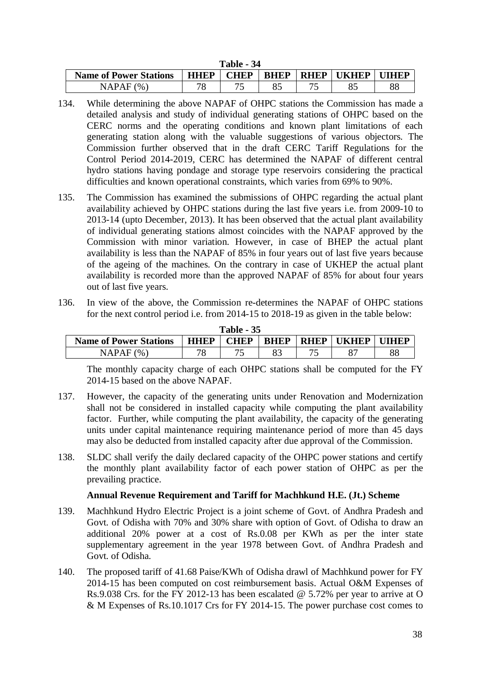| <b>Table - 34</b>             |             |             |             |             |              |                |  |
|-------------------------------|-------------|-------------|-------------|-------------|--------------|----------------|--|
| <b>Name of Power Stations</b> | <b>HHEP</b> | <b>CHEP</b> | <b>BHEP</b> | <b>RHEP</b> | <b>UKHEP</b> | <b>I</b> UIHEP |  |
| NAPAF<br>(9)                  | $\neg$ O    |             |             |             |              | oc             |  |

- 134. While determining the above NAPAF of OHPC stations the Commission has made a detailed analysis and study of individual generating stations of OHPC based on the CERC norms and the operating conditions and known plant limitations of each generating station along with the valuable suggestions of various objectors. The Commission further observed that in the draft CERC Tariff Regulations for the Control Period 2014-2019, CERC has determined the NAPAF of different central hydro stations having pondage and storage type reservoirs considering the practical difficulties and known operational constraints, which varies from 69% to 90%.
- 135. The Commission has examined the submissions of OHPC regarding the actual plant availability achieved by OHPC stations during the last five years i.e. from 2009-10 to 2013-14 (upto December, 2013). It has been observed that the actual plant availability of individual generating stations almost coincides with the NAPAF approved by the Commission with minor variation. However, in case of BHEP the actual plant availability is less than the NAPAF of 85% in four years out of last five years because of the ageing of the machines. On the contrary in case of UKHEP the actual plant availability is recorded more than the approved NAPAF of 85% for about four years out of last five years.
- 136. In view of the above, the Commission re-determines the NAPAF of OHPC stations for the next control period i.e. from 2014-15 to 2018-19 as given in the table below:

| <b>Table - 35</b>                                                                                                  |    |  |  |  |  |    |  |  |  |
|--------------------------------------------------------------------------------------------------------------------|----|--|--|--|--|----|--|--|--|
| CHEP<br><b>HHEP</b><br><b>BHEP</b><br><b>RHEP</b><br><b>Name of Power Stations</b><br><b>IIKHEP</b><br><b>THEP</b> |    |  |  |  |  |    |  |  |  |
| NAPAF (%                                                                                                           | 70 |  |  |  |  | 88 |  |  |  |

The monthly capacity charge of each OHPC stations shall be computed for the FY 2014-15 based on the above NAPAF.

- 137. However, the capacity of the generating units under Renovation and Modernization shall not be considered in installed capacity while computing the plant availability factor. Further, while computing the plant availability, the capacity of the generating units under capital maintenance requiring maintenance period of more than 45 days may also be deducted from installed capacity after due approval of the Commission.
- 138. SLDC shall verify the daily declared capacity of the OHPC power stations and certify the monthly plant availability factor of each power station of OHPC as per the prevailing practice.

#### **Annual Revenue Requirement and Tariff for Machhkund H.E. (Jt.) Scheme**

- 139. Machhkund Hydro Electric Project is a joint scheme of Govt. of Andhra Pradesh and Govt. of Odisha with 70% and 30% share with option of Govt. of Odisha to draw an additional 20% power at a cost of Rs.0.08 per KWh as per the inter state supplementary agreement in the year 1978 between Govt. of Andhra Pradesh and Govt. of Odisha.
- 140. The proposed tariff of 41.68 Paise/KWh of Odisha drawl of Machhkund power for FY 2014-15 has been computed on cost reimbursement basis. Actual O&M Expenses of Rs.9.038 Crs. for the FY 2012-13 has been escalated @ 5.72% per year to arrive at O & M Expenses of Rs.10.1017 Crs for FY 2014-15. The power purchase cost comes to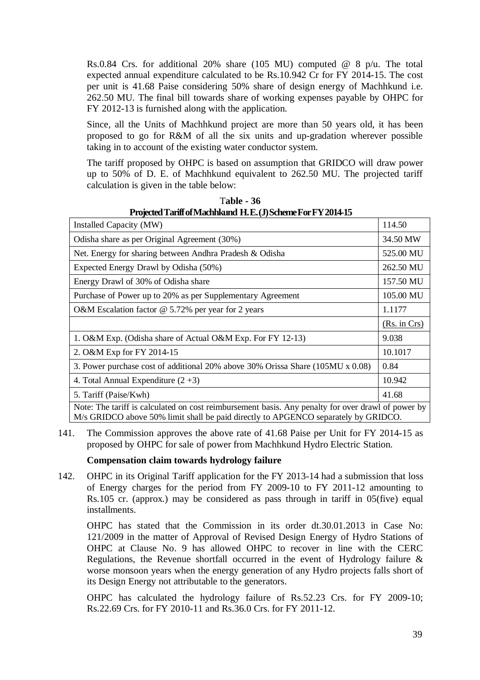Rs.0.84 Crs. for additional 20% share (105 MU) computed @ 8 p/u. The total expected annual expenditure calculated to be Rs.10.942 Cr for FY 2014-15. The cost per unit is 41.68 Paise considering 50% share of design energy of Machhkund i.e. 262.50 MU. The final bill towards share of working expenses payable by OHPC for FY 2012-13 is furnished along with the application.

Since, all the Units of Machhkund project are more than 50 years old, it has been proposed to go for R&M of all the six units and up-gradation wherever possible taking in to account of the existing water conductor system.

The tariff proposed by OHPC is based on assumption that GRIDCO will draw power up to 50% of D. E. of Machhkund equivalent to 262.50 MU. The projected tariff calculation is given in the table below:

| Installed Capacity (MW)                                                                                                                                                                  | 114.50       |
|------------------------------------------------------------------------------------------------------------------------------------------------------------------------------------------|--------------|
| Odisha share as per Original Agreement (30%)                                                                                                                                             | 34.50 MW     |
| Net. Energy for sharing between Andhra Pradesh & Odisha                                                                                                                                  | 525.00 MU    |
| Expected Energy Drawl by Odisha (50%)                                                                                                                                                    | 262.50 MU    |
| Energy Drawl of 30% of Odisha share                                                                                                                                                      | 157.50 MU    |
| Purchase of Power up to 20% as per Supplementary Agreement                                                                                                                               | 105.00 MU    |
| O&M Escalation factor $@$ 5.72% per year for 2 years                                                                                                                                     | 1.1177       |
|                                                                                                                                                                                          | (Rs. in Crs) |
| 1. O&M Exp. (Odisha share of Actual O&M Exp. For FY 12-13)                                                                                                                               | 9.038        |
| 2. O&M Exp for FY 2014-15                                                                                                                                                                | 10.1017      |
| 3. Power purchase cost of additional 20% above 30% Orissa Share (105MU x 0.08)                                                                                                           | 0.84         |
| 4. Total Annual Expenditure $(2+3)$                                                                                                                                                      | 10.942       |
| 5. Tariff (Paise/Kwh)                                                                                                                                                                    | 41.68        |
| Note: The tariff is calculated on cost reimbursement basis. Any penalty for over drawl of power by<br>M/s GRIDCO above 50% limit shall be paid directly to APGENCO separately by GRIDCO. |              |

T**able - 36 ProjectedTariffofMachhkund H.E.(J)SchemeForFY2014-15**

141. The Commission approves the above rate of 41.68 Paise per Unit for FY 2014-15 as proposed by OHPC for sale of power from Machhkund Hydro Electric Station.

#### **Compensation claim towards hydrology failure**

142. OHPC in its Original Tariff application for the FY 2013-14 had a submission that loss of Energy charges for the period from FY 2009-10 to FY 2011-12 amounting to Rs.105 cr. (approx.) may be considered as pass through in tariff in 05(five) equal installments.

OHPC has stated that the Commission in its order dt.30.01.2013 in Case No: 121/2009 in the matter of Approval of Revised Design Energy of Hydro Stations of OHPC at Clause No. 9 has allowed OHPC to recover in line with the CERC Regulations, the Revenue shortfall occurred in the event of Hydrology failure  $\&$ worse monsoon years when the energy generation of any Hydro projects falls short of its Design Energy not attributable to the generators.

OHPC has calculated the hydrology failure of Rs.52.23 Crs. for FY 2009-10; Rs.22.69 Crs. for FY 2010-11 and Rs.36.0 Crs. for FY 2011-12.

 $\sim$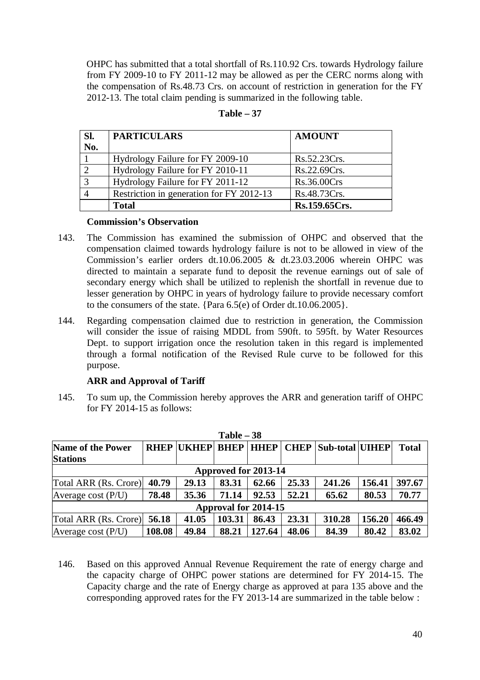OHPC has submitted that a total shortfall of Rs.110.92 Crs. towards Hydrology failure from FY 2009-10 to FY 2011-12 may be allowed as per the CERC norms along with the compensation of Rs.48.73 Crs. on account of restriction in generation for the FY 2012-13. The total claim pending is summarized in the following table.

| SI.            | <b>PARTICULARS</b>                       | <b>AMOUNT</b>      |
|----------------|------------------------------------------|--------------------|
| No.            |                                          |                    |
|                | Hydrology Failure for FY 2009-10         | Rs.52.23Crs.       |
| 2              | Hydrology Failure for FY 2010-11         | Rs.22.69Crs.       |
| 3              | Hydrology Failure for FY 2011-12         | <b>Rs.36.00Crs</b> |
| $\overline{4}$ | Restriction in generation for FY 2012-13 | Rs.48.73Crs.       |
|                | <b>Total</b>                             | Rs.159.65Crs.      |

| l'able<br>u |  |
|-------------|--|
|-------------|--|

#### **Commission's Observation**

- 143. The Commission has examined the submission of OHPC and observed that the compensation claimed towards hydrology failure is not to be allowed in view of the Commission's earlier orders dt.10.06.2005 & dt.23.03.2006 wherein OHPC was directed to maintain a separate fund to deposit the revenue earnings out of sale of secondary energy which shall be utilized to replenish the shortfall in revenue due to lesser generation by OHPC in years of hydrology failure to provide necessary comfort to the consumers of the state. {Para 6.5(e) of Order dt.10.06.2005}.
- 144. Regarding compensation claimed due to restriction in generation, the Commission will consider the issue of raising MDDL from 590ft. to 595ft. by Water Resources Dept. to support irrigation once the resolution taken in this regard is implemented through a formal notification of the Revised Rule curve to be followed for this purpose.

## **ARR and Approval of Tariff**

145. To sum up, the Commission hereby approves the ARR and generation tariff of OHPC for FY 2014-15 as follows:

| $Table - 38$          |             |              |             |             |             |                 |        |              |
|-----------------------|-------------|--------------|-------------|-------------|-------------|-----------------|--------|--------------|
| Name of the Power     | <b>RHEP</b> | <b>UKHEP</b> | <b>BHEP</b> | <b>HHEP</b> | <b>CHEP</b> | Sub-total UIHEP |        | <b>Total</b> |
| <b>Stations</b>       |             |              |             |             |             |                 |        |              |
| Approved for 2013-14  |             |              |             |             |             |                 |        |              |
| Total ARR (Rs. Crore) | 40.79       | 29.13        | 83.31       | 62.66       | 25.33       | 241.26          | 156.41 | 397.67       |
| Average cost $(P/U)$  | 78.48       | 35.36        | 71.14       | 92.53       | 52.21       | 65.62           | 80.53  | 70.77        |
| Approval for 2014-15  |             |              |             |             |             |                 |        |              |
| Total ARR (Rs. Crore) | 56.18       | 41.05        | 103.31      | 86.43       | 23.31       | 310.28          | 156.20 | 466.49       |
| Average cost $(P/U)$  | 108.08      | 49.84        | 88.21       | 127.64      | 48.06       | 84.39           | 80.42  | 83.02        |

146. Based on this approved Annual Revenue Requirement the rate of energy charge and the capacity charge of OHPC power stations are determined for FY 2014-15. The Capacity charge and the rate of Energy charge as approved at para 135 above and the corresponding approved rates for the FY 2013-14 are summarized in the table below :